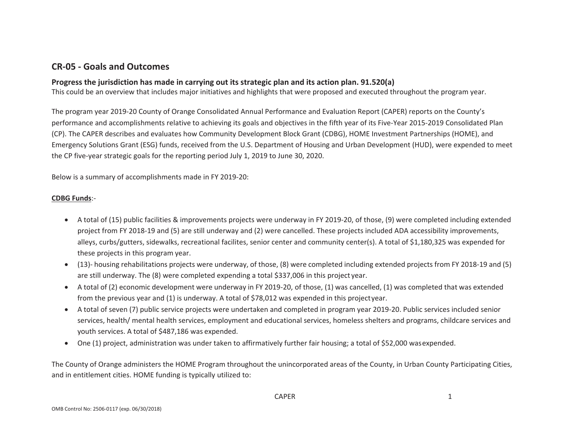## **CR‐05 ‐ Goals and Outcomes**

## **Progress the jurisdiction has made in carrying out its strategic plan and its action plan. 91.520(a)**

This could be an overview that includes major initiatives and highlights that were proposed and executed throughout the program year.

The program year 2019‐20 County of Orange Consolidated Annual Performance and Evaluation Report (CAPER) reports on the County's performance and accomplishments relative to achieving its goals and objectives in the fifth year of its Five‐Year 2015‐2019 Consolidated Plan (CP). The CAPER describes and evaluates how Community Development Block Grant (CDBG), HOME Investment Partnerships (HOME), and Emergency Solutions Grant (ESG) funds, received from the U.S. Department of Housing and Urban Development (HUD), were expended to meet the CP five‐year strategic goals for the reporting period July 1, 2019 to June 30, 2020.

Below is <sup>a</sup> summary of accomplishments made in FY 2019‐20:

## **CDBG Funds**:‐

- A total of (15) public facilities & improvements projects were underway in FY 2019‐20, of those, (9) were completed including extended project from FY 2018‐19 and (5) are still underway and (2) were cancelled. These projects included ADA accessibility improvements, alleys, curbs/gutters, sidewalks, recreational facilites, senior center and community center(s). <sup>A</sup> total of \$1,180,325 was expended for these projects in this program year.
- (13)‐ housing rehabilitations projects were underway, of those, (8) were completed including extended projects from FY 2018‐19 and (5) are still underway. The (8) were completed expending <sup>a</sup> total \$337,006 in this project year.
- A total of (2) economic development were underway in FY 2019‐20, of those, (1) was cancelled, (1) was completed that was extended from the previous year and (1) is underway. <sup>A</sup> total of \$78,012 was expended in this projectyear.
- $\bullet$  A total of seven (7) public service projects were undertaken and completed in program year 2019‐20. Public services included senior services, health/ mental health services, employment and educational services, homeless shelters and programs, childcare services and youth services. <sup>A</sup> total of \$487,186 was expended.
- One (1) project, administration was under taken to affirmatively further fair housing; <sup>a</sup> total of \$52,000 wasexpended.

The County of Orange administers the HOME Program throughout the unincorporated areas of the County, in Urban County Participating Cities, and in entitlement cities. HOME funding is typically utilized to: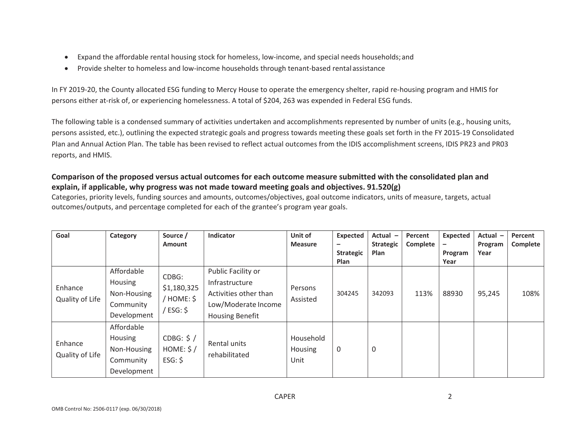- $\bullet$ Expand the affordable rental housing stock for homeless, low‐income, and special needs households;and
- $\bullet$ ● Provide shelter to homeless and low-income households through tenant-based rental assistance

In FY 2019‐20, the County allocated ESG funding to Mercy House to operate the emergency shelter, rapid re‐housing program and HMIS for persons either at‐risk of, or experiencing homelessness. <sup>A</sup> total of \$204, 263 was expended in Federal ESG funds.

The following table is <sup>a</sup> condensed summary of activities undertaken and accomplishments represented by number of units (e.g., housing units, persons assisted, etc.), outlining the expected strategic goals and progress towards meeting these goals set forth in the FY 2015‐19 Consolidated Plan and Annual Action Plan. The table has been revised to reflect actual outcomes from the IDIS accomplishment screens, IDIS PR23 and PR03 reports, and HMIS.

## Comparison of the proposed versus actual outcomes for each outcome measure submitted with the consolidated plan and **explain, if applicable, why progress was not made toward meeting goals and objectives. 91.520(g)**

Categories, priority levels, funding sources and amounts, outcomes/objectives, goal outcome indicators, units of measure, targets, actual outcomes/outputs, and percentage completed for each of the grantee's program year goals.

| Goal                       | Category                                                         | Source /<br><b>Amount</b>                        | Indicator                                                                                                      | Unit of<br><b>Measure</b>           | <b>Expected</b><br>$\overline{\phantom{0}}$ | Actual $-$<br><b>Strategic</b> | Percent<br>Complete | <b>Expected</b> | Actual -<br>Program | Percent<br>Complete |
|----------------------------|------------------------------------------------------------------|--------------------------------------------------|----------------------------------------------------------------------------------------------------------------|-------------------------------------|---------------------------------------------|--------------------------------|---------------------|-----------------|---------------------|---------------------|
|                            |                                                                  |                                                  |                                                                                                                |                                     | <b>Strategic</b><br>Plan                    | Plan                           |                     | Program<br>Year | Year                |                     |
| Enhance<br>Quality of Life | Affordable<br>Housing<br>Non-Housing<br>Community<br>Development | CDBG:<br>\$1,180,325<br>HOME: \$<br>$ESG:$ \$    | Public Facility or<br>Infrastructure<br>Activities other than<br>Low/Moderate Income<br><b>Housing Benefit</b> | Persons<br>Assisted                 | 304245                                      | 342093                         | 113%                | 88930           | 95,245              | 108%                |
| Enhance<br>Quality of Life | Affordable<br>Housing<br>Non-Housing<br>Community<br>Development | CDBG: $\frac{2}{3}$ /<br>HOME: $$/$<br>$ESG:$ \$ | Rental units<br>rehabilitated                                                                                  | Household<br><b>Housing</b><br>Unit | $\mathbf 0$                                 | $\mathbf 0$                    |                     |                 |                     |                     |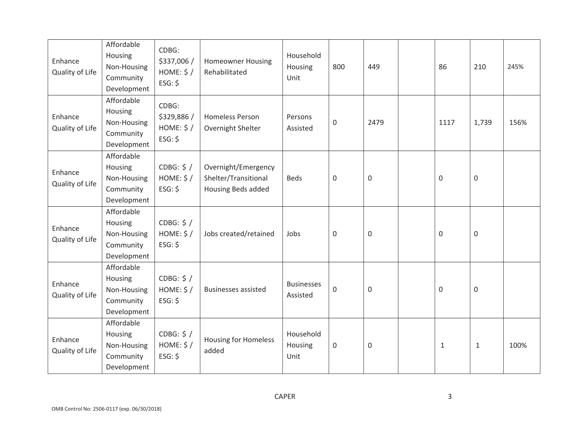| Enhance<br>Quality of Life | Affordable<br>Housing<br>Non-Housing<br>Community<br>Development | CDBG:<br>\$337,006 /<br>HOME: $$/$<br>$ESG:$ \$ | <b>Homeowner Housing</b><br>Rehabilitated                         | Household<br>Housing<br>Unit  | 800            | 449         | 86               | 210                 | 245% |
|----------------------------|------------------------------------------------------------------|-------------------------------------------------|-------------------------------------------------------------------|-------------------------------|----------------|-------------|------------------|---------------------|------|
| Enhance<br>Quality of Life | Affordable<br>Housing<br>Non-Housing<br>Community<br>Development | CDBG:<br>\$329,886 /<br>HOME: $$/$<br>$ESG:$ \$ | <b>Homeless Person</b><br>Overnight Shelter                       | Persons<br>Assisted           | $\overline{0}$ | 2479        | 1117             | 1,739               | 156% |
| Enhance<br>Quality of Life | Affordable<br>Housing<br>Non-Housing<br>Community<br>Development | CDBG: $$/$<br>HOME: $$/$<br>ESG: \$             | Overnight/Emergency<br>Shelter/Transitional<br>Housing Beds added | <b>Beds</b>                   | $\mathbf 0$    | $\mathbf 0$ | $\mathbf 0$      | $\mathbf 0$         |      |
| Enhance<br>Quality of Life | Affordable<br>Housing<br>Non-Housing<br>Community<br>Development | CDBG: $$/$<br>HOME: $$/$<br>$ESG:$ \$           | Jobs created/retained                                             | Jobs                          | $\mathbf 0$    | $\mathbf 0$ | $\mathbf 0$      | $\mathsf{O}\xspace$ |      |
| Enhance<br>Quality of Life | Affordable<br>Housing<br>Non-Housing<br>Community<br>Development | CDBG: $$/$<br>HOME: $$/$<br>ESG: \$             | <b>Businesses assisted</b>                                        | <b>Businesses</b><br>Assisted | $\mathbf 0$    | $\mathbf 0$ | $\boldsymbol{0}$ | $\mathsf{O}\xspace$ |      |
| Enhance<br>Quality of Life | Affordable<br>Housing<br>Non-Housing<br>Community<br>Development | CDBG: \$ /<br>HOME: $$/$<br>ESG: \$             | <b>Housing for Homeless</b><br>added                              | Household<br>Housing<br>Unit  | $\mathbf 0$    | $\Omega$    | $\mathbf{1}$     | $\mathbf{1}$        | 100% |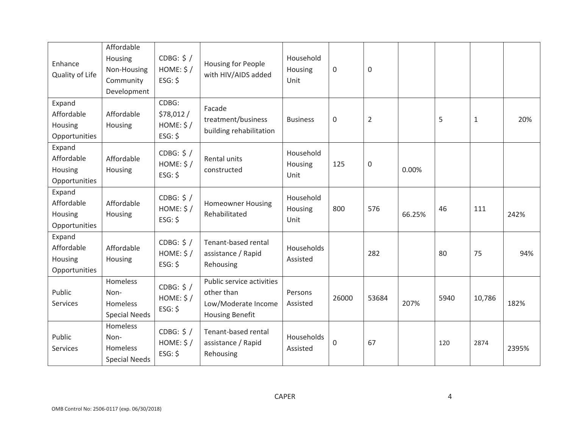| Enhance<br>Quality of Life                       | Affordable<br>Housing<br>Non-Housing<br>Community<br>Development | CDBG: $$/$<br>HOME: $$/$<br>$ESG:$ \$       | Housing for People<br>with HIV/AIDS added                                                | Household<br>Housing<br>Unit | $\mathbf 0$      | 0              |        |      |        |       |
|--------------------------------------------------|------------------------------------------------------------------|---------------------------------------------|------------------------------------------------------------------------------------------|------------------------------|------------------|----------------|--------|------|--------|-------|
| Expand<br>Affordable<br>Housing<br>Opportunities | Affordable<br>Housing                                            | CDBG:<br>\$78,012/<br>HOME: $$/$<br>ESG: \$ | Facade<br>treatment/business<br>building rehabilitation                                  | <b>Business</b>              | 0                | $\overline{2}$ |        | 5    | $1\,$  | 20%   |
| Expand<br>Affordable<br>Housing<br>Opportunities | Affordable<br>Housing                                            | CDBG: $$/$<br>HOME: $$/$<br>ESG: \$         | Rental units<br>constructed                                                              | Household<br>Housing<br>Unit | 125              | 0              | 0.00%  |      |        |       |
| Expand<br>Affordable<br>Housing<br>Opportunities | Affordable<br>Housing                                            | CDBG: $$/$<br>HOME: $$/$<br>$ESG:$ \$       | <b>Homeowner Housing</b><br>Rehabilitated                                                | Household<br>Housing<br>Unit | 800              | 576            | 66.25% | 46   | 111    | 242%  |
| Expand<br>Affordable<br>Housing<br>Opportunities | Affordable<br>Housing                                            | CDBG: $$/$<br>HOME: $$/$<br>$ESG:$ \$       | Tenant-based rental<br>assistance / Rapid<br>Rehousing                                   | Households<br>Assisted       |                  | 282            |        | 80   | 75     | 94%   |
| Public<br>Services                               | Homeless<br>Non-<br><b>Homeless</b><br><b>Special Needs</b>      | CDBG: $$/$<br>HOME: $$/$<br>ESG: \$         | Public service activities<br>other than<br>Low/Moderate Income<br><b>Housing Benefit</b> | Persons<br>Assisted          | 26000            | 53684          | 207%   | 5940 | 10,786 | 182%  |
| Public<br>Services                               | Homeless<br>Non-<br>Homeless<br><b>Special Needs</b>             | CDBG: $$/$<br>HOME: $$/$<br>ESG: \$         | Tenant-based rental<br>assistance / Rapid<br>Rehousing                                   | Households<br>Assisted       | $\boldsymbol{0}$ | 67             |        | 120  | 2874   | 2395% |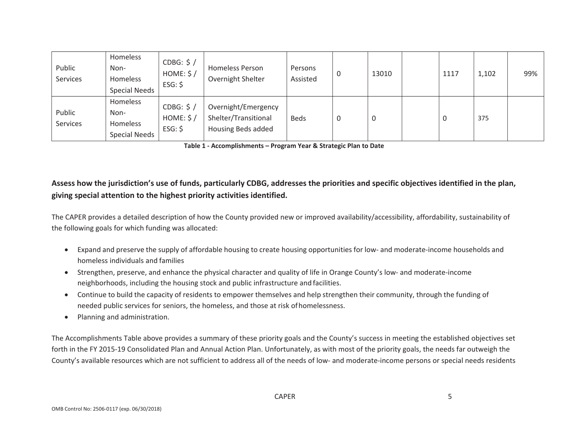| Public<br>Services | Homeless<br>Non-<br>Homeless<br><b>Special Needs</b> | CDBG: $$/$<br>HOME: $$/$<br>$ESG:$ \$ | <b>Homeless Person</b><br>Overnight Shelter                       | Persons<br>Assisted | 0 | 13010 | 1117 | 1,102 | 99% |
|--------------------|------------------------------------------------------|---------------------------------------|-------------------------------------------------------------------|---------------------|---|-------|------|-------|-----|
| Public<br>Services | Homeless<br>Non-<br>Homeless<br><b>Special Needs</b> | CDBG: $$/$<br>HOME: \$/<br>$ESG:$ \$  | Overnight/Emergency<br>Shelter/Transitional<br>Housing Beds added | <b>Beds</b>         | 0 | υ     | 0    | 375   |     |

**Table 1 ‐ Accomplishments – Program Year & Strategic Plan to Date**

## Assess how the jurisdiction's use of funds, particularly CDBG, addresses the priorities and specific objectives identified in the plan, **giving special attention to the highest priority activities identified.**

The CAPER provides <sup>a</sup> detailed description of how the County provided new or improved availability/accessibility, affordability, sustainability of the following goals for which funding was allocated:

- Expand and preserve the supply of affordable housing to create housing opportunities for low‐ and moderate‐income households and homeless individuals and families
- Strengthen, preserve, and enhance the physical character and quality of life in Orange County's low- and moderate-income neighborhoods, including the housing stock and public infrastructure and facilities.
- Continue to build the capacity of residents to empower themselves and help strengthen their community, through the funding of needed public services for seniors, the homeless, and those at risk ofhomelessness.
- $\bullet$ Planning and administration.

The Accomplishments Table above provides <sup>a</sup> summary of these priority goals and the County's success in meeting the established objectives set forth in the FY 2015‐19 Consolidated Plan and Annual Action Plan. Unfortunately, as with most of the priority goals, the needs far outweigh the County's available resources which are not sufficient to address all of the needs of low‐ and moderate‐income persons or special needs residents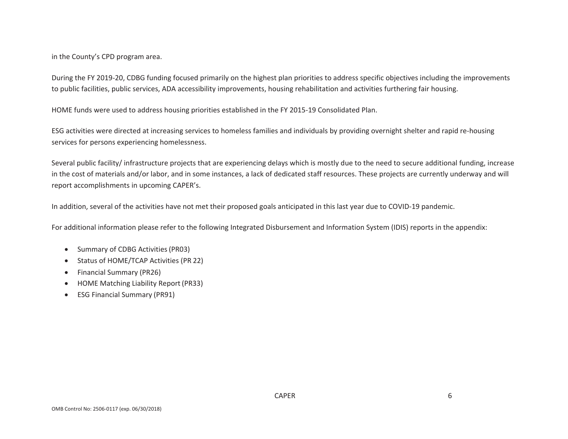in the County's CPD program area.

During the FY 2019-20, CDBG funding focused primarily on the highest plan priorities to address specific objectives including the improvements to public facilities, public services, ADA accessibility improvements, housing rehabilitation and activities furthering fair housing.

HOME funds were used to address housing priorities established in the FY 2015‐19 Consolidated Plan.

ESG activities were directed at increasing services to homeless families and individuals by providing overnight shelter and rapid re‐housing services for persons experiencing homelessness.

Several public facility/ infrastructure projects that are experiencing delays which is mostly due to the need to secure additional funding, increase in the cost of materials and/or labor, and in some instances, <sup>a</sup> lack of dedicated staff resources. These projects are currently underway and will report accomplishments in upcoming CAPER's.

In addition, several of the activities have not met their proposed goals anticipated in this last year due to COVID‐19 pandemic.

For additional information please refer to the following Integrated Disbursement and Information System (IDIS) reports in the appendix:

- $\bullet$ Summary of CDBG Activities(PR03)
- $\bullet$ Status of HOME/TCAP Activities (PR 22)
- $\bullet$ Financial Summary (PR26)
- $\bullet$ HOME Matching Liability Report (PR33)
- $\bullet$ ESG Financial Summary (PR91)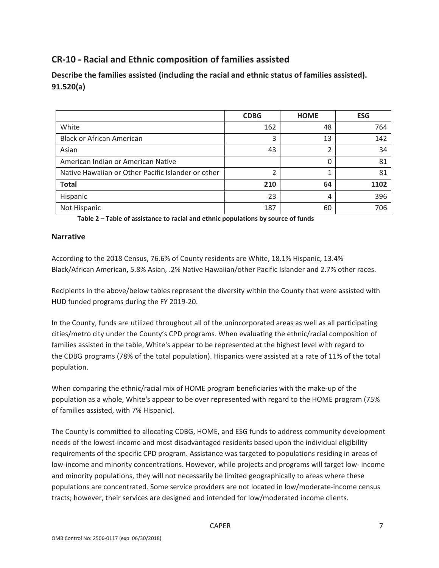## **CR‐10 ‐ Racial and Ethnic composition of families assisted**

**Describe the families assisted (including the racial and ethnic status of families assisted). 91.520(a)**

|                                                    | <b>CDBG</b> | <b>HOME</b> | <b>ESG</b> |
|----------------------------------------------------|-------------|-------------|------------|
| White                                              | 162         | 48          | 764        |
| <b>Black or African American</b>                   | 3           | 13          | 142        |
| Asian                                              | 43          | ∍           | 34         |
| American Indian or American Native                 |             | 0           | 81         |
| Native Hawaiian or Other Pacific Islander or other | ำ           |             | 81         |
| <b>Total</b>                                       | 210         | 64          | 1102       |
| Hispanic                                           | 23          | 4           | 396        |
| Not Hispanic                                       | 187         | 60          | 706        |

**Table 2 – Table of assistance to racial and ethnic populations by source of funds**

### **Narrative**

According to the 2018 Census, 76.6% of County residents are White, 18.1% Hispanic, 13.4% Black/African American, 5.8% Asian, .2% Native Hawaiian/other Pacific Islander and 2.7% other races.

Recipients in the above/below tables represent the diversity within the County that were assisted with HUD funded programs during the FY 2019‐20.

In the County, funds are utilized throughout all of the unincorporated areas as well as all participating cities/metro city under the County's CPD programs. When evaluating the ethnic/racial composition of families assisted in the table, White's appear to be represented at the highest level with regard to the CDBG programs (78% of the total population). Hispanics were assisted at a rate of 11% of the total population.

When comparing the ethnic/racial mix of HOME program beneficiaries with the make‐up of the population as a whole, White's appear to be over represented with regard to the HOME program (75% of families assisted, with 7% Hispanic).

The County is committed to allocating CDBG, HOME, and ESG funds to address community development needs of the lowest‐income and most disadvantaged residents based upon the individual eligibility requirements of the specific CPD program. Assistance was targeted to populations residing in areas of low‐income and minority concentrations. However, while projects and programs will target low‐ income and minority populations, they will not necessarily be limited geographically to areas where these populations are concentrated. Some service providers are not located in low/moderate‐income census tracts; however, their services are designed and intended for low/moderated income clients.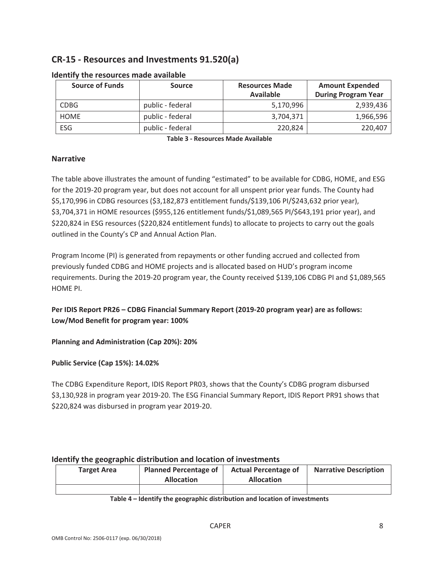## **CR‐15 ‐ Resources and Investments 91.520(a)**

| <b>Source of Funds</b> | <b>Source</b>    | <b>Resources Made</b><br><b>Available</b> | <b>Amount Expended</b><br><b>During Program Year</b> |
|------------------------|------------------|-------------------------------------------|------------------------------------------------------|
| <b>CDBG</b>            | public - federal | 5,170,996                                 | 2,939,436                                            |
| <b>HOME</b>            | public - federal | 3,704,371                                 | 1,966,596                                            |
| ESG                    | public - federal | 220,824                                   | 220,407                                              |

### **Identify the resources made available**

**Table 3 ‐ Resources Made Available**

### **Narrative**

The table above illustrates the amount of funding "estimated" to be available for CDBG, HOME, and ESG for the 2019‐20 program year, but does not account for all unspent prior year funds. The County had \$5,170,996 in CDBG resources (\$3,182,873 entitlement funds/\$139,106 PI/\$243,632 prior year), \$3,704,371 in HOME resources (\$955,126 entitlement funds/\$1,089,565 PI/\$643,191 prior year), and \$220,824 in ESG resources (\$220,824 entitlement funds) to allocate to projects to carry out the goals outlined in the County's CP and Annual Action Plan.

Program Income (PI) is generated from repayments or other funding accrued and collected from previously funded CDBG and HOME projects and is allocated based on HUD's program income requirements. During the 2019‐20 program year, the County received \$139,106 CDBG PI and \$1,089,565 HOME PI.

**Per IDIS Report PR26 – CDBG Financial Summary Report (2019‐20 program year) are as follows: Low/Mod Benefit for program year: 100%**

**Planning and Administration (Cap 20%): 20%**

**Public Service (Cap 15%): 14.02%**

The CDBG Expenditure Report, IDIS Report PR03, shows that the County's CDBG program disbursed \$3,130,928 in program year 2019‐20. The ESG Financial Summary Report, IDIS Report PR91 shows that \$220,824 was disbursed in program year 2019‐20.

## **Identify the geographic distribution and location of investments**

| <b>Target Area</b> | <b>Planned Percentage of</b> | <b>Actual Percentage of</b> | <b>Narrative Description</b> |
|--------------------|------------------------------|-----------------------------|------------------------------|
|                    | <b>Allocation</b>            | <b>Allocation</b>           |                              |
|                    |                              |                             |                              |

**Table 4 – Identify the geographic distribution and location of investments**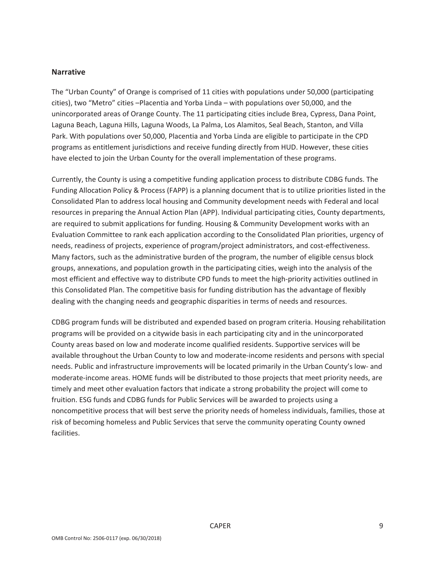### **Narrative**

The "Urban County" of Orange is comprised of 11 cities with populations under 50,000 (participating cities), two "Metro" cities –Placentia and Yorba Linda – with populations over 50,000, and the unincorporated areas of Orange County. The 11 participating cities include Brea, Cypress, Dana Point, Laguna Beach, Laguna Hills, Laguna Woods, La Palma, Los Alamitos, Seal Beach, Stanton, and Villa Park. With populations over 50,000, Placentia and Yorba Linda are eligible to participate in the CPD programs as entitlement jurisdictions and receive funding directly from HUD. However, these cities have elected to join the Urban County for the overall implementation of these programs.

Currently, the County is using a competitive funding application process to distribute CDBG funds. The Funding Allocation Policy & Process (FAPP) is a planning document that is to utilize priorities listed in the Consolidated Plan to address local housing and Community development needs with Federal and local resources in preparing the Annual Action Plan (APP). Individual participating cities, County departments, are required to submit applications for funding. Housing & Community Development works with an Evaluation Committee to rank each application according to the Consolidated Plan priorities, urgency of needs, readiness of projects, experience of program/project administrators, and cost-effectiveness. Many factors, such as the administrative burden of the program, the number of eligible census block groups, annexations, and population growth in the participating cities, weigh into the analysis of the most efficient and effective way to distribute CPD funds to meet the high-priority activities outlined in this Consolidated Plan. The competitive basis for funding distribution has the advantage of flexibly dealing with the changing needs and geographic disparities in terms of needs and resources.

CDBG program funds will be distributed and expended based on program criteria. Housing rehabilitation programs will be provided on a citywide basis in each participating city and in the unincorporated County areas based on low and moderate income qualified residents. Supportive services will be available throughout the Urban County to low and moderate‐income residents and persons with special needs. Public and infrastructure improvements will be located primarily in the Urban County's low‐ and moderate-income areas. HOME funds will be distributed to those projects that meet priority needs, are timely and meet other evaluation factors that indicate a strong probability the project will come to fruition. ESG funds and CDBG funds for Public Services will be awarded to projects using a noncompetitive process that will best serve the priority needs of homeless individuals, families, those at risk of becoming homeless and Public Services that serve the community operating County owned facilities.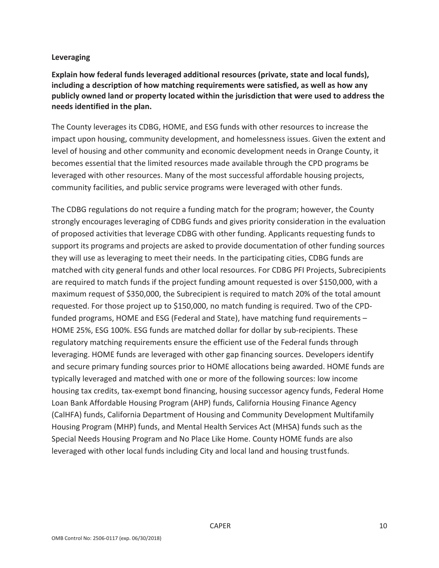## **Leveraging**

**Explain how federal funds leveraged additional resources (private, state and local funds), including a description of how matching requirements were satisfied, as well as how any publicly owned land or property located within the jurisdiction that were used to address the needs identified in the plan.**

The County leverages its CDBG, HOME, and ESG funds with other resources to increase the impact upon housing, community development, and homelessness issues. Given the extent and level of housing and other community and economic development needs in Orange County, it becomes essential that the limited resources made available through the CPD programs be leveraged with other resources. Many of the most successful affordable housing projects, community facilities, and public service programs were leveraged with other funds.

The CDBG regulations do not require a funding match for the program; however, the County strongly encourages leveraging of CDBG funds and gives priority consideration in the evaluation of proposed activities that leverage CDBG with other funding. Applicants requesting funds to support its programs and projects are asked to provide documentation of other funding sources they will use as leveraging to meet their needs. In the participating cities, CDBG funds are matched with city general funds and other local resources. For CDBG PFI Projects, Subrecipients are required to match funds if the project funding amount requested is over \$150,000, with a maximum request of \$350,000, the Subrecipient is required to match 20% of the total amount requested. For those project up to \$150,000, no match funding is required. Two of the CPD‐ funded programs, HOME and ESG (Federal and State), have matching fund requirements – HOME 25%, ESG 100%. ESG funds are matched dollar for dollar by sub‐recipients. These regulatory matching requirements ensure the efficient use of the Federal funds through leveraging. HOME funds are leveraged with other gap financing sources. Developers identify and secure primary funding sources prior to HOME allocations being awarded. HOME funds are typically leveraged and matched with one or more of the following sources: low income housing tax credits, tax-exempt bond financing, housing successor agency funds, Federal Home Loan Bank Affordable Housing Program (AHP) funds, California Housing Finance Agency (CalHFA) funds, California Department of Housing and Community Development Multifamily Housing Program (MHP) funds, and Mental Health Services Act (MHSA) funds such as the Special Needs Housing Program and No Place Like Home. County HOME funds are also leveraged with other local funds including City and local land and housing trustfunds.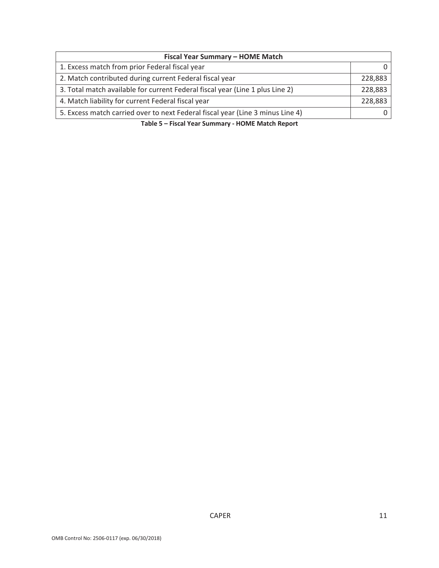| Fiscal Year Summary - HOME Match                                               |         |  |  |  |  |  |
|--------------------------------------------------------------------------------|---------|--|--|--|--|--|
| 1. Excess match from prior Federal fiscal year                                 |         |  |  |  |  |  |
| 2. Match contributed during current Federal fiscal year                        | 228,883 |  |  |  |  |  |
| 3. Total match available for current Federal fiscal year (Line 1 plus Line 2)  | 228,883 |  |  |  |  |  |
| 4. Match liability for current Federal fiscal year                             | 228,883 |  |  |  |  |  |
| 5. Excess match carried over to next Federal fiscal year (Line 3 minus Line 4) |         |  |  |  |  |  |

**Table 5 – Fiscal Year Summary ‐ HOME Match Report**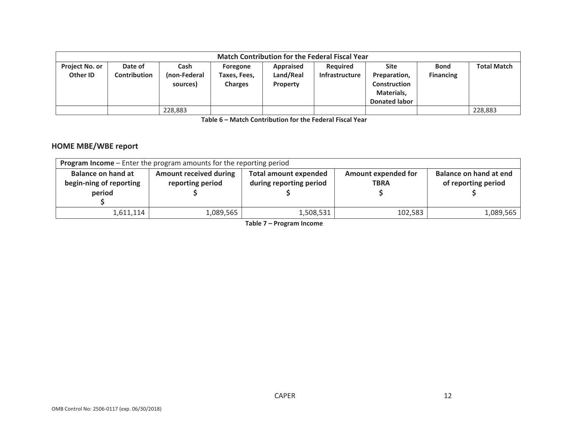|                                   | <b>Match Contribution for the Federal Fiscal Year</b> |                                  |                                            |                                           |                                          |                                                                                          |                                 |                    |  |  |
|-----------------------------------|-------------------------------------------------------|----------------------------------|--------------------------------------------|-------------------------------------------|------------------------------------------|------------------------------------------------------------------------------------------|---------------------------------|--------------------|--|--|
| <b>Project No. or</b><br>Other ID | Date of<br><b>Contribution</b>                        | Cash<br>(non-Federal<br>sources) | Foregone<br>Гахеs, Fees,<br><b>Charges</b> | Appraised<br>Land/Real<br><b>Property</b> | <b>Required</b><br><b>Infrastructure</b> | <b>Site</b><br>Preparation,<br><b>Construction</b><br>Materials,<br><b>Donated labor</b> | <b>Bond</b><br><b>Financing</b> | <b>Total Match</b> |  |  |
|                                   |                                                       | 228,883                          |                                            |                                           |                                          |                                                                                          |                                 | 228,883            |  |  |

**Table 6 – Match Contribution for the Federal Fiscal Year**

### **HOME MBE/WBE report**

| <b>Program Income</b> – Enter the program amounts for the reporting period |                                                   |                                                         |                                           |                                               |  |  |  |  |  |
|----------------------------------------------------------------------------|---------------------------------------------------|---------------------------------------------------------|-------------------------------------------|-----------------------------------------------|--|--|--|--|--|
| <b>Balance on hand at</b><br>begin-ning of reporting<br>period             | <b>Amount received during</b><br>reporting period | <b>Total amount expended</b><br>during reporting period | <b>Amount expended for</b><br><b>TBRA</b> | Balance on hand at end<br>of reporting period |  |  |  |  |  |
| 1,611,114                                                                  | 1,089,565                                         | 1,508,531                                               | 102,583                                   | 1,089,565                                     |  |  |  |  |  |

**Table 7 – Program Income**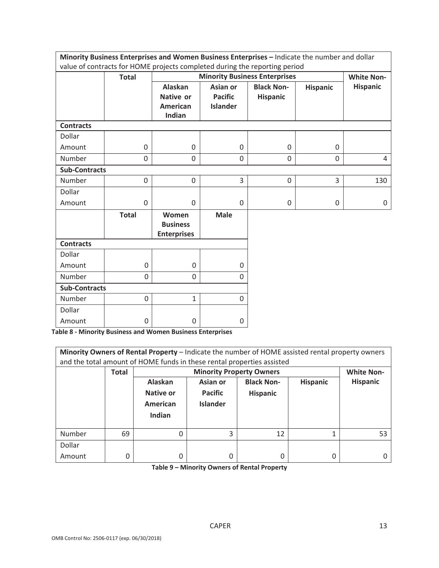|                      | Minority Business Enterprises and Women Business Enterprises - Indicate the number and dollar |                                                |                 |                                      |                 |                   |
|----------------------|-----------------------------------------------------------------------------------------------|------------------------------------------------|-----------------|--------------------------------------|-----------------|-------------------|
|                      | value of contracts for HOME projects completed during the reporting period                    |                                                |                 |                                      |                 |                   |
|                      | <b>Total</b>                                                                                  |                                                |                 | <b>Minority Business Enterprises</b> |                 | <b>White Non-</b> |
|                      |                                                                                               | <b>Alaskan</b>                                 | Asian or        | <b>Black Non-</b>                    | <b>Hispanic</b> | <b>Hispanic</b>   |
|                      |                                                                                               | Native or                                      | <b>Pacific</b>  | <b>Hispanic</b>                      |                 |                   |
|                      |                                                                                               | <b>American</b>                                | <b>Islander</b> |                                      |                 |                   |
|                      |                                                                                               | Indian                                         |                 |                                      |                 |                   |
| <b>Contracts</b>     |                                                                                               |                                                |                 |                                      |                 |                   |
| Dollar               |                                                                                               |                                                |                 |                                      |                 |                   |
| Amount               | 0                                                                                             | $\mathbf 0$                                    | $\Omega$        | 0                                    | 0               |                   |
| Number               | $\mathbf 0$                                                                                   | $\mathbf 0$                                    | 0               | 0                                    | 0               | $\overline{4}$    |
| <b>Sub-Contracts</b> |                                                                                               |                                                |                 |                                      |                 |                   |
| Number               | 0                                                                                             | $\mathbf 0$                                    | 3               | $\mathbf 0$                          | 3               | 130               |
| Dollar               |                                                                                               |                                                |                 |                                      |                 |                   |
| Amount               | 0                                                                                             | $\mathbf 0$                                    | $\Omega$        | 0                                    | 0               | 0                 |
|                      | <b>Total</b>                                                                                  | Women<br><b>Business</b><br><b>Enterprises</b> | <b>Male</b>     |                                      |                 |                   |
| <b>Contracts</b>     |                                                                                               |                                                |                 |                                      |                 |                   |
| Dollar               |                                                                                               |                                                |                 |                                      |                 |                   |
| Amount               | 0                                                                                             | $\mathsf 0$                                    | $\Omega$        |                                      |                 |                   |
| Number               | 0                                                                                             | 0                                              | $\Omega$        |                                      |                 |                   |
| <b>Sub-Contracts</b> |                                                                                               |                                                |                 |                                      |                 |                   |
| Number               | 0                                                                                             | $\mathbf{1}$                                   | $\Omega$        |                                      |                 |                   |
| Dollar               |                                                                                               |                                                |                 |                                      |                 |                   |
| Amount               | 0                                                                                             | 0                                              | $\Omega$        |                                      |                 |                   |

**Table 8 ‐ Minority Business and Women Business Enterprises**

| Minority Owners of Rental Property - Indicate the number of HOME assisted rental property owners<br>and the total amount of HOME funds in these rental properties assisted |              |                                            |                                               |                                      |                 |                   |  |  |  |
|----------------------------------------------------------------------------------------------------------------------------------------------------------------------------|--------------|--------------------------------------------|-----------------------------------------------|--------------------------------------|-----------------|-------------------|--|--|--|
|                                                                                                                                                                            | <b>Total</b> |                                            | <b>Minority Property Owners</b>               |                                      |                 | <b>White Non-</b> |  |  |  |
|                                                                                                                                                                            |              | Alaskan<br>Native or<br>American<br>Indian | Asian or<br><b>Pacific</b><br><b>Islander</b> | <b>Black Non-</b><br><b>Hispanic</b> | <b>Hispanic</b> | <b>Hispanic</b>   |  |  |  |
| Number                                                                                                                                                                     | 69           | 0                                          | 3                                             | 12                                   |                 | 53                |  |  |  |
| Dollar                                                                                                                                                                     |              |                                            |                                               |                                      |                 |                   |  |  |  |
| Amount                                                                                                                                                                     | 0            | 0                                          | 0                                             | 0                                    | 0               |                   |  |  |  |

**Table 9 – Minority Owners of Rental Property**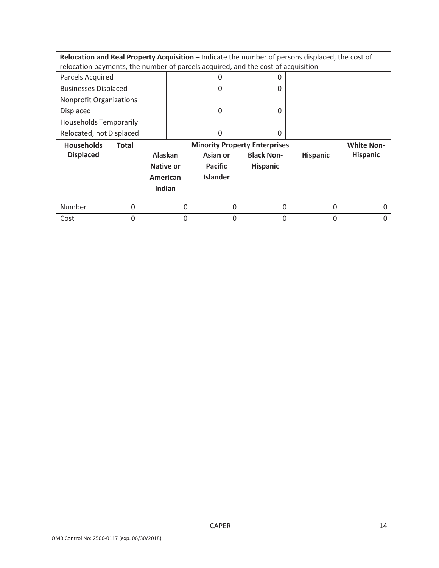**Relocation and Real Property Acquisition –** Indicate the number of persons displaced, the cost of relocation payments, the number of parcels acquired, and the cost of acquisition

| Parcels Acquired              |  |
|-------------------------------|--|
| <b>Businesses Displaced</b>   |  |
| Nonprofit Organizations       |  |
| Displaced                     |  |
| <b>Households Temporarily</b> |  |
| Relocated, not Displaced      |  |

| <b>Households</b> | <b>Total</b> |                                                   |                                               | <b>Minority Property Enterprises</b> |                 | <b>White Non-</b> |
|-------------------|--------------|---------------------------------------------------|-----------------------------------------------|--------------------------------------|-----------------|-------------------|
| <b>Displaced</b>  |              | Alaskan<br><b>Native or</b><br>American<br>Indian | Asian or<br><b>Pacific</b><br><b>Islander</b> | <b>Black Non-</b><br><b>Hispanic</b> | <b>Hispanic</b> | <b>Hispanic</b>   |
| Number            |              |                                                   | 0                                             |                                      |                 |                   |
| Cost              |              |                                                   |                                               |                                      |                 |                   |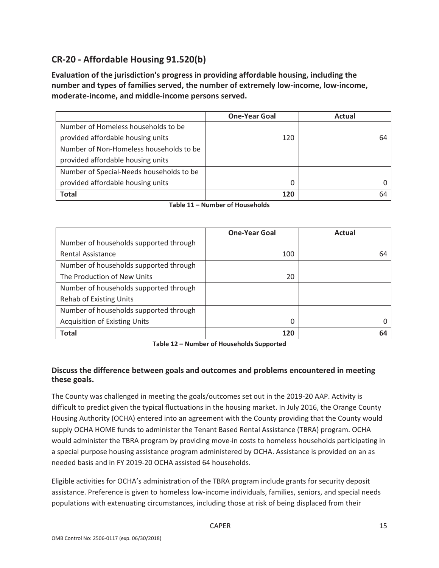## **CR‐20 ‐ Affordable Housing 91.520(b)**

**Evaluation of the jurisdiction's progress in providing affordable housing, including the number and types of families served, the number of extremely low‐income, low‐income, moderate‐income, and middle‐income persons served.**

|                                          | <b>One-Year Goal</b> | Actual |
|------------------------------------------|----------------------|--------|
| Number of Homeless households to be      |                      |        |
| provided affordable housing units        | 120                  | 64     |
| Number of Non-Homeless households to be  |                      |        |
| provided affordable housing units        |                      |        |
| Number of Special-Needs households to be |                      |        |
| provided affordable housing units        |                      |        |
| <b>Total</b>                             | 120                  | 64     |

**Table 11 – Number of Households**

|                                        | <b>One-Year Goal</b> | Actual |
|----------------------------------------|----------------------|--------|
| Number of households supported through |                      |        |
| <b>Rental Assistance</b>               | 100                  | 64     |
| Number of households supported through |                      |        |
| The Production of New Units            | 20                   |        |
| Number of households supported through |                      |        |
| <b>Rehab of Existing Units</b>         |                      |        |
| Number of households supported through |                      |        |
| <b>Acquisition of Existing Units</b>   | 0                    |        |
| <b>Total</b>                           | 120                  | 64     |

**Table 12 – Number of Households Supported**

## **Discuss the difference between goals and outcomes and problems encountered in meeting these goals.**

The County was challenged in meeting the goals/outcomes set out in the 2019‐20 AAP. Activity is difficult to predict given the typical fluctuations in the housing market. In July 2016, the Orange County Housing Authority (OCHA) entered into an agreement with the County providing that the County would supply OCHA HOME funds to administer the Tenant Based Rental Assistance (TBRA) program. OCHA would administer the TBRA program by providing move-in costs to homeless households participating in a special purpose housing assistance program administered by OCHA. Assistance is provided on an as needed basis and in FY 2019‐20 OCHA assisted 64 households.

Eligible activities for OCHA's administration of the TBRA program include grants for security deposit assistance. Preference is given to homeless low‐income individuals, families, seniors, and special needs populations with extenuating circumstances, including those at risk of being displaced from their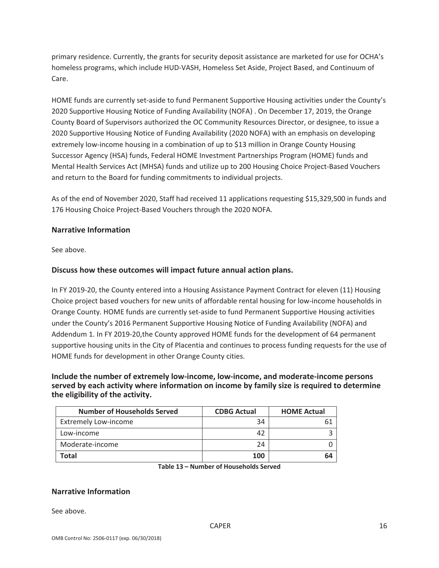primary residence. Currently, the grants for security deposit assistance are marketed for use for OCHA's homeless programs, which include HUD‐VASH, Homeless Set Aside, Project Based, and Continuum of Care.

HOME funds are currently set‐aside to fund Permanent Supportive Housing activities under the County's 2020 Supportive Housing Notice of Funding Availability (NOFA) . On December 17, 2019, the Orange County Board of Supervisors authorized the OC Community Resources Director, or designee, to issue a 2020 Supportive Housing Notice of Funding Availability (2020 NOFA) with an emphasis on developing extremely low-income housing in a combination of up to \$13 million in Orange County Housing Successor Agency (HSA) funds, Federal HOME Investment Partnerships Program (HOME) funds and Mental Health Services Act (MHSA) funds and utilize up to 200 Housing Choice Project‐Based Vouchers and return to the Board for funding commitments to individual projects.

As of the end of November 2020, Staff had received 11 applications requesting \$15,329,500 in funds and 176 Housing Choice Project‐Based Vouchers through the 2020 NOFA.

## **Narrative Information**

See above.

### **Discuss how these outcomes will impact future annual action plans.**

In FY 2019‐20, the County entered into a Housing Assistance Payment Contract for eleven (11) Housing Choice project based vouchers for new units of affordable rental housing for low‐income households in Orange County. HOME funds are currently set‐aside to fund Permanent Supportive Housing activities under the County's 2016 Permanent Supportive Housing Notice of Funding Availability (NOFA) and Addendum 1. In FY 2019‐20,the County approved HOME funds for the development of 64 permanent supportive housing units in the City of Placentia and continues to process funding requests for the use of HOME funds for development in other Orange County cities.

### **Include the number of extremely low‐income, low‐income, and moderate‐income persons served by each activity where information on income by family size is required to determine the eligibility of the activity.**

| <b>Number of Households Served</b> | <b>CDBG Actual</b> | <b>HOME Actual</b> |
|------------------------------------|--------------------|--------------------|
| <b>Extremely Low-income</b>        | 34                 |                    |
| Low-income                         | 42                 |                    |
| Moderate-income                    | 24                 |                    |
| Total                              | 100                | 64                 |

**Table 13 – Number of Households Served**

### **Narrative Information**

See above.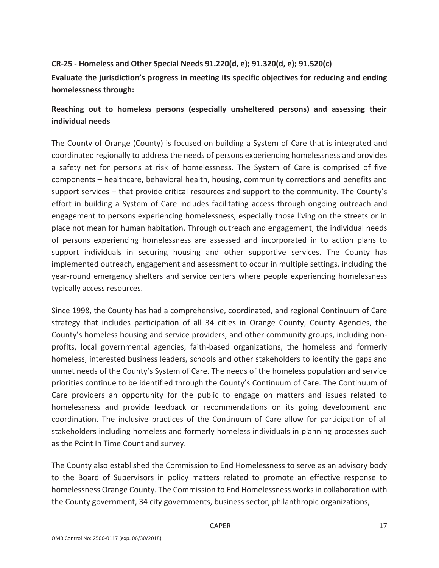## **CR‐25 ‐ Homeless and Other Special Needs 91.220(d, e); 91.320(d, e); 91.520(c)**

**Evaluate the jurisdiction's progress in meeting its specific objectives for reducing and ending homelessness through:**

## **Reaching out to homeless persons (especially unsheltered persons) and assessing their individual needs**

The County of Orange (County) is focused on building a System of Care that is integrated and coordinated regionally to address the needs of persons experiencing homelessness and provides a safety net for persons at risk of homelessness. The System of Care is comprised of five components – healthcare, behavioral health, housing, community corrections and benefits and support services – that provide critical resources and support to the community. The County's effort in building a System of Care includes facilitating access through ongoing outreach and engagement to persons experiencing homelessness, especially those living on the streets or in place not mean for human habitation. Through outreach and engagement, the individual needs of persons experiencing homelessness are assessed and incorporated in to action plans to support individuals in securing housing and other supportive services. The County has implemented outreach, engagement and assessment to occur in multiple settings, including the year-round emergency shelters and service centers where people experiencing homelessness typically access resources.

Since 1998, the County has had a comprehensive, coordinated, and regional Continuum of Care strategy that includes participation of all 34 cities in Orange County, County Agencies, the County's homeless housing and service providers, and other community groups, including non‐ profits, local governmental agencies, faith-based organizations, the homeless and formerly homeless, interested business leaders, schools and other stakeholders to identify the gaps and unmet needs of the County's System of Care. The needs of the homeless population and service priorities continue to be identified through the County's Continuum of Care. The Continuum of Care providers an opportunity for the public to engage on matters and issues related to homelessness and provide feedback or recommendations on its going development and coordination. The inclusive practices of the Continuum of Care allow for participation of all stakeholders including homeless and formerly homeless individuals in planning processes such as the Point In Time Count and survey.

The County also established the Commission to End Homelessness to serve as an advisory body to the Board of Supervisors in policy matters related to promote an effective response to homelessness Orange County. The Commission to End Homelessness worksin collaboration with the County government, 34 city governments, business sector, philanthropic organizations,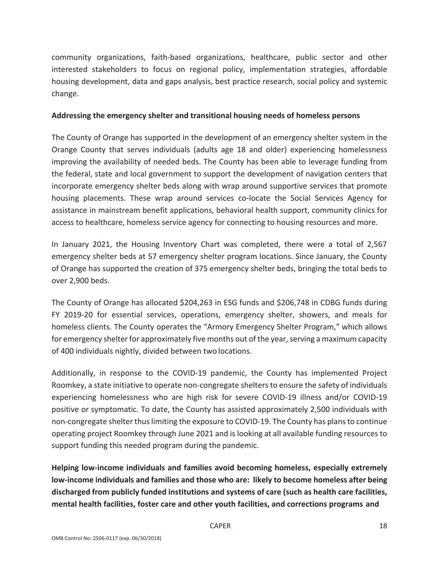community organizations, faith‐based organizations, healthcare, public sector and other interested stakeholders to focus on regional policy, implementation strategies, affordable housing development, data and gaps analysis, best practice research, social policy and systemic change.

## **Addressing the emergency shelter and transitional housing needs of homeless persons**

The County of Orange has supported in the development of an emergency shelter system in the Orange County that serves individuals (adults age 18 and older) experiencing homelessness improving the availability of needed beds. The County has been able to leverage funding from the federal, state and local government to support the development of navigation centers that incorporate emergency shelter beds along with wrap around supportive services that promote housing placements. These wrap around services co-locate the Social Services Agency for assistance in mainstream benefit applications, behavioral health support, community clinics for access to healthcare, homeless service agency for connecting to housing resources and more.

In January 2021, the Housing Inventory Chart was completed, there were a total of 2,567 emergency shelter beds at 57 emergency shelter program locations. Since January, the County of Orange has supported the creation of 375 emergency shelter beds, bringing the total beds to over 2,900 beds.

The County of Orange has allocated \$204,263 in ESG funds and \$206,748 in CDBG funds during FY 2019-20 for essential services, operations, emergency shelter, showers, and meals for homeless clients. The County operates the "Armory Emergency Shelter Program," which allows for emergency shelter for approximately five months out of the year, serving a maximum capacity of 400 individuals nightly, divided between two locations.

Additionally, in response to the COVID‐19 pandemic, the County has implemented Project Roomkey, a state initiative to operate non‐congregate sheltersto ensure the safety of individuals experiencing homelessness who are high risk for severe COVID‐19 illness and/or COVID‐19 positive or symptomatic. To date, the County has assisted approximately 2,500 individuals with non-congregate shelter thus limiting the exposure to COVID-19. The County has plans to continue operating project Roomkey through June 2021 and is looking at all available funding resources to support funding this needed program during the pandemic.

**Helping low‐income individuals and families avoid becoming homeless, especially extremely low‐income individuals and families and those who are: likely to become homeless after being discharged from publicly funded institutions and systems of care (such as health care facilities, mental health facilities, foster care and other youth facilities, and corrections programs and**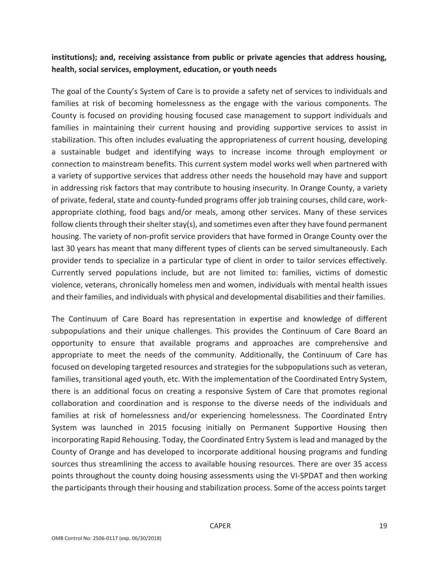## **institutions); and, receiving assistance from public or private agencies that address housing, health, social services, employment, education, or youth needs**

The goal of the County's System of Care is to provide a safety net of services to individuals and families at risk of becoming homelessness as the engage with the various components. The County is focused on providing housing focused case management to support individuals and families in maintaining their current housing and providing supportive services to assist in stabilization. This often includes evaluating the appropriateness of current housing, developing a sustainable budget and identifying ways to increase income through employment or connection to mainstream benefits. This current system model works well when partnered with a variety of supportive services that address other needs the household may have and support in addressing risk factors that may contribute to housing insecurity. In Orange County, a variety of private, federal, state and county-funded programs offer job training courses, child care, workappropriate clothing, food bags and/or meals, among other services. Many of these services follow clients through their shelter stay(s), and sometimes even after they have found permanent housing. The variety of non‐profit service providers that have formed in Orange County over the last 30 years has meant that many different types of clients can be served simultaneously. Each provider tends to specialize in a particular type of client in order to tailor services effectively. Currently served populations include, but are not limited to: families, victims of domestic violence, veterans, chronically homeless men and women, individuals with mental health issues and their families, and individuals with physical and developmental disabilities and their families.

The Continuum of Care Board has representation in expertise and knowledge of different subpopulations and their unique challenges. This provides the Continuum of Care Board an opportunity to ensure that available programs and approaches are comprehensive and appropriate to meet the needs of the community. Additionally, the Continuum of Care has focused on developing targeted resources and strategies for the subpopulations such as veteran, families, transitional aged youth, etc. With the implementation of the Coordinated Entry System, there is an additional focus on creating a responsive System of Care that promotes regional collaboration and coordination and is response to the diverse needs of the individuals and families at risk of homelessness and/or experiencing homelessness. The Coordinated Entry System was launched in 2015 focusing initially on Permanent Supportive Housing then incorporating Rapid Rehousing. Today, the Coordinated Entry System islead and managed by the County of Orange and has developed to incorporate additional housing programs and funding sources thus streamlining the access to available housing resources. There are over 35 access points throughout the county doing housing assessments using the VI‐SPDAT and then working the participants through their housing and stabilization process. Some of the access points target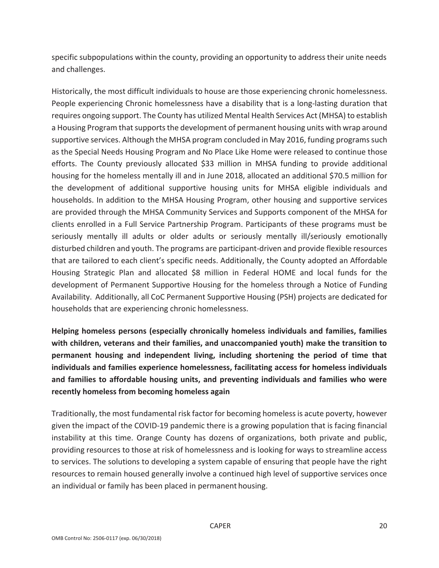specific subpopulations within the county, providing an opportunity to address their unite needs and challenges.

Historically, the most difficult individuals to house are those experiencing chronic homelessness. People experiencing Chronic homelessness have a disability that is a long‐lasting duration that requires ongoing support. The County has utilized Mental Health Services Act (MHSA) to establish a Housing Program that supports the development of permanent housing units with wrap around supportive services. Although the MHSA program concluded in May 2016, funding programssuch as the Special Needs Housing Program and No Place Like Home were released to continue those efforts. The County previously allocated \$33 million in MHSA funding to provide additional housing for the homeless mentally ill and in June 2018, allocated an additional \$70.5 million for the development of additional supportive housing units for MHSA eligible individuals and households. In addition to the MHSA Housing Program, other housing and supportive services are provided through the MHSA Community Services and Supports component of the MHSA for clients enrolled in a Full Service Partnership Program. Participants of these programs must be seriously mentally ill adults or older adults or seriously mentally ill/seriously emotionally disturbed children and youth. The programs are participant‐driven and provide flexible resources that are tailored to each client's specific needs. Additionally, the County adopted an Affordable Housing Strategic Plan and allocated \$8 million in Federal HOME and local funds for the development of Permanent Supportive Housing for the homeless through a Notice of Funding Availability. Additionally, all CoC Permanent Supportive Housing (PSH) projects are dedicated for households that are experiencing chronic homelessness.

**Helping homeless persons (especially chronically homeless individuals and families, families with children, veterans and their families, and unaccompanied youth) make the transition to permanent housing and independent living, including shortening the period of time that individuals and families experience homelessness, facilitating access for homeless individuals and families to affordable housing units, and preventing individuals and families who were recently homeless from becoming homeless again**

Traditionally, the most fundamental risk factor for becoming homelessis acute poverty, however given the impact of the COVID‐19 pandemic there is a growing population that is facing financial instability at this time. Orange County has dozens of organizations, both private and public, providing resources to those at risk of homelessness and is looking for ways to streamline access to services. The solutions to developing a system capable of ensuring that people have the right resources to remain housed generally involve a continued high level of supportive services once an individual or family has been placed in permanent housing.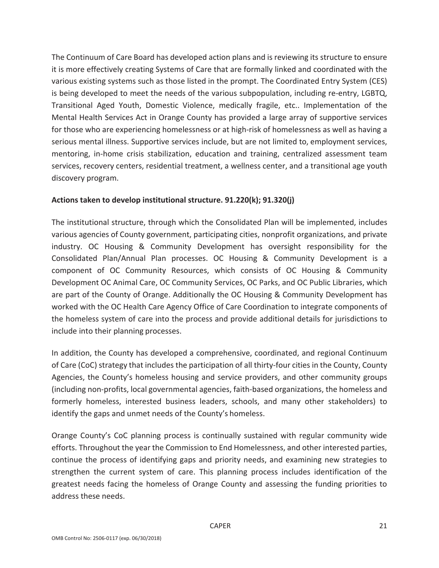The Continuum of Care Board has developed action plans and is reviewing its structure to ensure it is more effectively creating Systems of Care that are formally linked and coordinated with the various existing systems such as those listed in the prompt. The Coordinated Entry System (CES) is being developed to meet the needs of the various subpopulation, including re‐entry, LGBTQ, Transitional Aged Youth, Domestic Violence, medically fragile, etc.. Implementation of the Mental Health Services Act in Orange County has provided a large array of supportive services for those who are experiencing homelessness or at high-risk of homelessness as well as having a serious mental illness. Supportive services include, but are not limited to, employment services, mentoring, in-home crisis stabilization, education and training, centralized assessment team services, recovery centers, residential treatment, a wellness center, and a transitional age youth discovery program.

## **Actions taken to develop institutional structure. 91.220(k); 91.320(j)**

The institutional structure, through which the Consolidated Plan will be implemented, includes various agencies of County government, participating cities, nonprofit organizations, and private industry. OC Housing & Community Development has oversight responsibility for the Consolidated Plan/Annual Plan processes. OC Housing & Community Development is a component of OC Community Resources, which consists of OC Housing & Community Development OC Animal Care, OC Community Services, OC Parks, and OC Public Libraries, which are part of the County of Orange. Additionally the OC Housing & Community Development has worked with the OC Health Care Agency Office of Care Coordination to integrate components of the homeless system of care into the process and provide additional details for jurisdictions to include into their planning processes.

In addition, the County has developed a comprehensive, coordinated, and regional Continuum of Care (CoC) strategy that includes the participation of all thirty‐four cities in the County, County Agencies, the County's homeless housing and service providers, and other community groups (including non‐profits, local governmental agencies, faith‐based organizations, the homeless and formerly homeless, interested business leaders, schools, and many other stakeholders) to identify the gaps and unmet needs of the County's homeless.

Orange County's CoC planning process is continually sustained with regular community wide efforts. Throughout the year the Commission to End Homelessness, and other interested parties, continue the process of identifying gaps and priority needs, and examining new strategies to strengthen the current system of care. This planning process includes identification of the greatest needs facing the homeless of Orange County and assessing the funding priorities to address these needs.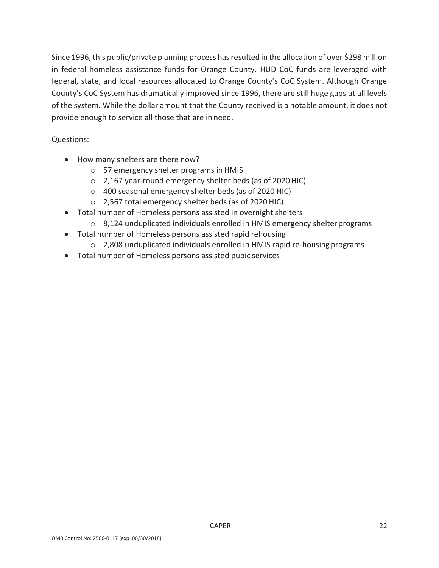Since 1996, this public/private planning process has resulted in the allocation of over \$298 million in federal homeless assistance funds for Orange County. HUD CoC funds are leveraged with federal, state, and local resources allocated to Orange County's CoC System. Although Orange County's CoC System has dramatically improved since 1996, there are still huge gaps at all levels of the system. While the dollar amount that the County received is a notable amount, it does not provide enough to service all those that are in need.

Questions:

- How many shelters are there now?
	- o 57 emergency shelter programs in HMIS
	- o 2,167 year‐round emergency shelter beds (as of 2020 HIC)
	- o 400 seasonal emergency shelter beds (as of 2020 HIC)
	- o 2,567 total emergency shelter beds (as of 2020 HIC)
- Total number of Homeless persons assisted in overnight shelters
	- $\circ$  8,124 unduplicated individuals enrolled in HMIS emergency shelter programs
- Total number of Homeless persons assisted rapid rehousing
	- o 2,808 unduplicated individuals enrolled in HMIS rapid re‐housingprograms
- Total number of Homeless persons assisted pubic services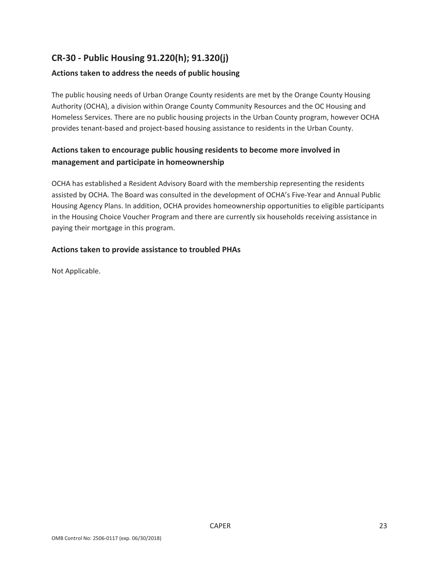## **CR‐30 ‐ Public Housing 91.220(h); 91.320(j)**

## **Actions taken to address the needs of public housing**

The public housing needs of Urban Orange County residents are met by the Orange County Housing Authority (OCHA), a division within Orange County Community Resources and the OC Housing and Homeless Services. There are no public housing projects in the Urban County program, however OCHA provides tenant-based and project-based housing assistance to residents in the Urban County.

## **Actions taken to encourage public housing residents to become more involved in management and participate in homeownership**

OCHA has established a Resident Advisory Board with the membership representing the residents assisted by OCHA. The Board was consulted in the development of OCHA's Five‐Year and Annual Public Housing Agency Plans. In addition, OCHA provides homeownership opportunities to eligible participants in the Housing Choice Voucher Program and there are currently six households receiving assistance in paying their mortgage in this program.

### **Actions taken to provide assistance to troubled PHAs**

Not Applicable.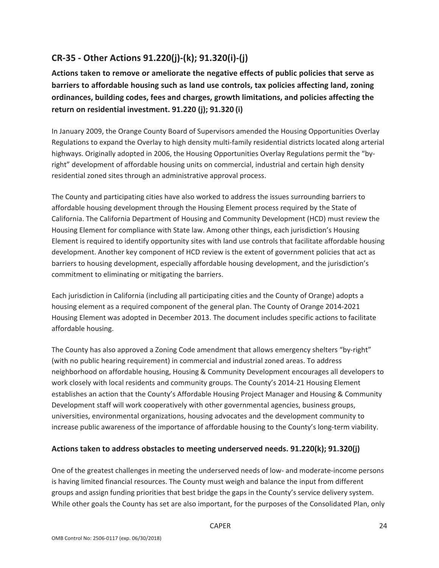## **CR‐35 ‐ Other Actions 91.220(j)‐(k); 91.320(i)‐(j)**

**Actions taken to remove or ameliorate the negative effects of public policies that serve as barriers to affordable housing such as land use controls, tax policies affecting land, zoning ordinances, building codes, fees and charges, growth limitations, and policies affecting the return on residential investment. 91.220 (j); 91.320 (i)**

In January 2009, the Orange County Board of Supervisors amended the Housing Opportunities Overlay Regulations to expand the Overlay to high density multi-family residential districts located along arterial highways. Originally adopted in 2006, the Housing Opportunities Overlay Regulations permit the "byright" development of affordable housing units on commercial, industrial and certain high density residential zoned sites through an administrative approval process.

The County and participating cities have also worked to address the issues surrounding barriers to affordable housing development through the Housing Element process required by the State of California. The California Department of Housing and Community Development (HCD) must review the Housing Element for compliance with State law. Among other things, each jurisdiction's Housing Element is required to identify opportunity sites with land use controls that facilitate affordable housing development. Another key component of HCD review is the extent of government policies that act as barriers to housing development, especially affordable housing development, and the jurisdiction's commitment to eliminating or mitigating the barriers.

Each jurisdiction in California (including all participating cities and the County of Orange) adopts a housing element as a required component of the general plan. The County of Orange 2014‐2021 Housing Element was adopted in December 2013. The document includes specific actions to facilitate affordable housing.

The County has also approved a Zoning Code amendment that allows emergency shelters "by-right" (with no public hearing requirement) in commercial and industrial zoned areas. To address neighborhood on affordable housing, Housing & Community Development encourages all developers to work closely with local residents and community groups. The County's 2014‐21 Housing Element establishes an action that the County's Affordable Housing Project Manager and Housing & Community Development staff will work cooperatively with other governmental agencies, business groups, universities, environmental organizations, housing advocates and the development community to increase public awareness of the importance of affordable housing to the County's long-term viability.

## **Actions taken to address obstacles to meeting underserved needs. 91.220(k); 91.320(j)**

One of the greatest challenges in meeting the underserved needs of low‐ and moderate‐income persons is having limited financial resources. The County must weigh and balance the input from different groups and assign funding priorities that best bridge the gaps in the County's service delivery system. While other goals the County has set are also important, for the purposes of the Consolidated Plan, only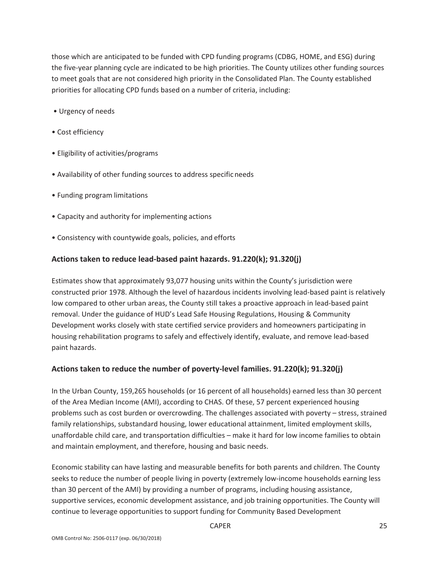those which are anticipated to be funded with CPD funding programs (CDBG, HOME, and ESG) during the five‐year planning cycle are indicated to be high priorities. The County utilizes other funding sources to meet goals that are not considered high priority in the Consolidated Plan. The County established priorities for allocating CPD funds based on a number of criteria, including:

- Urgency of needs
- Cost efficiency
- Eligibility of activities/programs
- Availability of other funding sources to address specificneeds
- Funding program limitations
- Capacity and authority for implementing actions
- Consistency with countywide goals, policies, and efforts

### **Actions taken to reduce lead‐based paint hazards. 91.220(k); 91.320(j)**

Estimates show that approximately 93,077 housing units within the County's jurisdiction were constructed prior 1978. Although the level of hazardous incidents involving lead‐based paint is relatively low compared to other urban areas, the County still takes a proactive approach in lead‐based paint removal. Under the guidance of HUD's Lead Safe Housing Regulations, Housing & Community Development works closely with state certified service providers and homeowners participating in housing rehabilitation programs to safely and effectively identify, evaluate, and remove lead‐based paint hazards.

## **Actions taken to reduce the number of poverty‐level families. 91.220(k); 91.320(j)**

In the Urban County, 159,265 households (or 16 percent of all households) earned less than 30 percent of the Area Median Income (AMI), according to CHAS. Of these, 57 percent experienced housing problems such as cost burden or overcrowding. The challenges associated with poverty – stress, strained family relationships, substandard housing, lower educational attainment, limited employment skills, unaffordable child care, and transportation difficulties – make it hard for low income families to obtain and maintain employment, and therefore, housing and basic needs.

Economic stability can have lasting and measurable benefits for both parents and children. The County seeks to reduce the number of people living in poverty (extremely low-income households earning less than 30 percent of the AMI) by providing a number of programs, including housing assistance, supportive services, economic development assistance, and job training opportunities. The County will continue to leverage opportunities to support funding for Community Based Development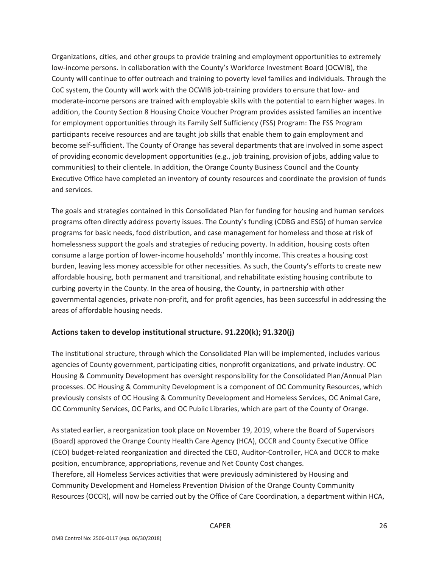Organizations, cities, and other groups to provide training and employment opportunities to extremely low‐income persons. In collaboration with the County's Workforce Investment Board (OCWIB), the County will continue to offer outreach and training to poverty level families and individuals. Through the CoC system, the County will work with the OCWIB job-training providers to ensure that low- and moderate‐income persons are trained with employable skills with the potential to earn higher wages. In addition, the County Section 8 Housing Choice Voucher Program provides assisted families an incentive for employment opportunities through its Family Self Sufficiency (FSS) Program: The FSS Program participants receive resources and are taught job skills that enable them to gain employment and become self‐sufficient. The County of Orange has several departments that are involved in some aspect of providing economic development opportunities (e.g., job training, provision of jobs, adding value to communities) to their clientele. In addition, the Orange County Business Council and the County Executive Office have completed an inventory of county resources and coordinate the provision of funds and services.

The goals and strategies contained in this Consolidated Plan for funding for housing and human services programs often directly address poverty issues. The County's funding (CDBG and ESG) of human service programs for basic needs, food distribution, and case management for homeless and those at risk of homelessness support the goals and strategies of reducing poverty. In addition, housing costs often consume a large portion of lower‐income households' monthly income. This creates a housing cost burden, leaving less money accessible for other necessities. As such, the County's efforts to create new affordable housing, both permanent and transitional, and rehabilitate existing housing contribute to curbing poverty in the County. In the area of housing, the County, in partnership with other governmental agencies, private non‐profit, and for profit agencies, has been successful in addressing the areas of affordable housing needs.

## **Actions taken to develop institutional structure. 91.220(k); 91.320(j)**

The institutional structure, through which the Consolidated Plan will be implemented, includes various agencies of County government, participating cities, nonprofit organizations, and private industry. OC Housing & Community Development has oversight responsibility for the Consolidated Plan/Annual Plan processes. OC Housing & Community Development is a component of OC Community Resources, which previously consists of OC Housing & Community Development and Homeless Services, OC Animal Care, OC Community Services, OC Parks, and OC Public Libraries, which are part of the County of Orange.

As stated earlier, a reorganization took place on November 19, 2019, where the Board of Supervisors (Board) approved the Orange County Health Care Agency (HCA), OCCR and County Executive Office (CEO) budget‐related reorganization and directed the CEO, Auditor‐Controller, HCA and OCCR to make position, encumbrance, appropriations, revenue and Net County Cost changes. Therefore, all Homeless Services activities that were previously administered by Housing and Community Development and Homeless Prevention Division of the Orange County Community Resources (OCCR), will now be carried out by the Office of Care Coordination, a department within HCA,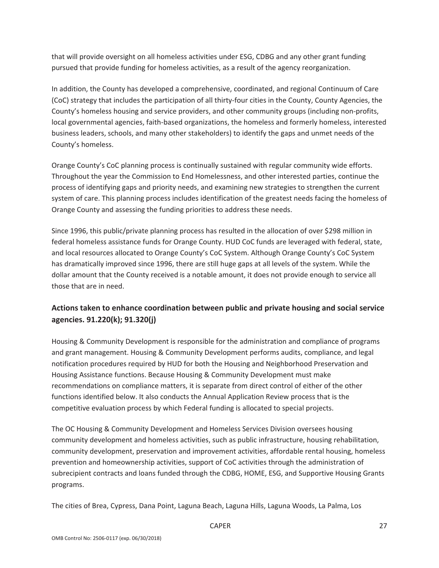that will provide oversight on all homeless activities under ESG, CDBG and any other grant funding pursued that provide funding for homeless activities, as a result of the agency reorganization.

In addition, the County has developed a comprehensive, coordinated, and regional Continuum of Care (CoC) strategy that includes the participation of all thirty‐four cities in the County, County Agencies, the County's homeless housing and service providers, and other community groups (including non‐profits, local governmental agencies, faith‐based organizations, the homeless and formerly homeless, interested business leaders, schools, and many other stakeholders) to identify the gaps and unmet needs of the County's homeless.

Orange County's CoC planning process is continually sustained with regular community wide efforts. Throughout the year the Commission to End Homelessness, and other interested parties, continue the process of identifying gaps and priority needs, and examining new strategies to strengthen the current system of care. This planning process includes identification of the greatest needs facing the homeless of Orange County and assessing the funding priorities to address these needs.

Since 1996, this public/private planning process has resulted in the allocation of over \$298 million in federal homeless assistance funds for Orange County. HUD CoC funds are leveraged with federal, state, and local resources allocated to Orange County's CoC System. Although Orange County's CoC System has dramatically improved since 1996, there are still huge gaps at all levels of the system. While the dollar amount that the County received is a notable amount, it does not provide enough to service all those that are in need.

## **Actions taken to enhance coordination between public and private housing and social service agencies. 91.220(k); 91.320(j)**

Housing & Community Development is responsible for the administration and compliance of programs and grant management. Housing & Community Development performs audits, compliance, and legal notification procedures required by HUD for both the Housing and Neighborhood Preservation and Housing Assistance functions. Because Housing & Community Development must make recommendations on compliance matters, it is separate from direct control of either of the other functions identified below. It also conducts the Annual Application Review process that is the competitive evaluation process by which Federal funding is allocated to special projects.

The OC Housing & Community Development and Homeless Services Division oversees housing community development and homeless activities, such as public infrastructure, housing rehabilitation, community development, preservation and improvement activities, affordable rental housing, homeless prevention and homeownership activities, support of CoC activities through the administration of subrecipient contracts and loans funded through the CDBG, HOME, ESG, and Supportive Housing Grants programs.

The cities of Brea, Cypress, Dana Point, Laguna Beach, Laguna Hills, Laguna Woods, La Palma, Los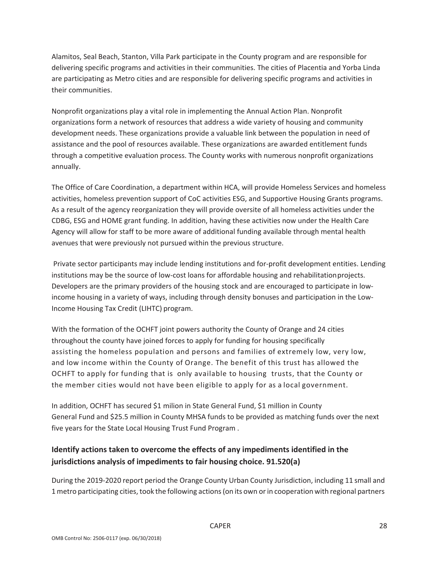Alamitos, Seal Beach, Stanton, Villa Park participate in the County program and are responsible for delivering specific programs and activities in their communities. The cities of Placentia and Yorba Linda are participating as Metro cities and are responsible for delivering specific programs and activities in their communities.

Nonprofit organizations play a vital role in implementing the Annual Action Plan. Nonprofit organizations form a network of resources that address a wide variety of housing and community development needs. These organizations provide a valuable link between the population in need of assistance and the pool of resources available. These organizations are awarded entitlement funds through a competitive evaluation process. The County works with numerous nonprofit organizations annually.

The Office of Care Coordination, a department within HCA, will provide Homeless Services and homeless activities, homeless prevention support of CoC activities ESG, and Supportive Housing Grants programs. As a result of the agency reorganization they will provide oversite of all homeless activities under the CDBG, ESG and HOME grant funding. In addition, having these activities now under the Health Care Agency will allow for staff to be more aware of additional funding available through mental health avenues that were previously not pursued within the previous structure.

Private sector participants may include lending institutions and for‐profit development entities. Lending institutions may be the source of low-cost loans for affordable housing and rehabilitation projects. Developers are the primary providers of the housing stock and are encouraged to participate in low‐ income housing in a variety of ways, including through density bonuses and participation in the Low‐ Income Housing Tax Credit (LIHTC) program.

With the formation of the OCHFT joint powers authority the County of Orange and 24 cities throughout the county have joined forces to apply for funding for housing specifically assisting the homeless population and persons and families of extremely low, very low, and low income within the County of Orange. The benefit of this trust has allowed the OCHFT to apply for funding that is only available to housing trusts, that the County or the member cities would not have been eligible to apply for as a local government.

In addition, OCHFT has secured \$1 milion in State General Fund, \$1 million in County General Fund and \$25.5 million in County MHSA funds to be provided as matching funds over the next five years for the State Local Housing Trust Fund Program .

## **Identify actions taken to overcome the effects of any impediments identified in the jurisdictions analysis of impediments to fair housing choice. 91.520(a)**

During the 2019‐2020 report period the Orange County Urban County Jurisdiction, including 11 small and 1metro participating cities, took the following actions(on its own orin cooperation with regional partners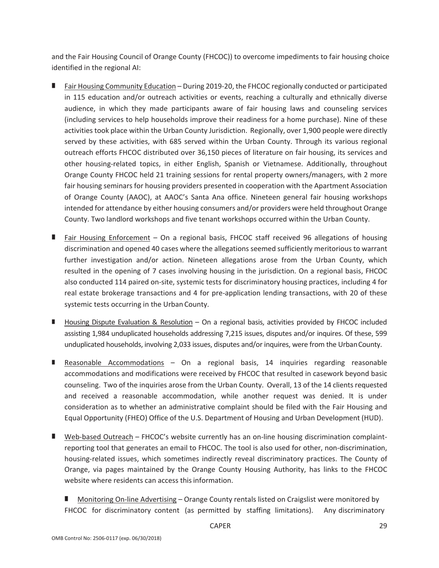and the Fair Housing Council of Orange County (FHCOC)) to overcome impediments to fair housing choice identified in the regional AI:

- Fair Housing Community Education During 2019‐20, the FHCOC regionally conducted or participated in 115 education and/or outreach activities or events, reaching a culturally and ethnically diverse audience, in which they made participants aware of fair housing laws and counseling services (including services to help households improve their readiness for a home purchase). Nine of these activities took place within the Urban County Jurisdiction. Regionally, over 1,900 people were directly served by these activities, with 685 served within the Urban County. Through its various regional outreach efforts FHCOC distributed over 36,150 pieces of literature on fair housing, its services and other housing‐related topics, in either English, Spanish or Vietnamese. Additionally, throughout Orange County FHCOC held 21 training sessions for rental property owners/managers, with 2 more fair housing seminars for housing providers presented in cooperation with the Apartment Association of Orange County (AAOC), at AAOC's Santa Ana office. Nineteen general fair housing workshops intended for attendance by either housing consumers and/or providers were held throughout Orange County. Two landlord workshops and five tenant workshops occurred within the Urban County.
- Fair Housing Enforcement On a regional basis, FHCOC staff received 96 allegations of housing discrimination and opened 40 cases where the allegations seemed sufficiently meritorious to warrant further investigation and/or action. Nineteen allegations arose from the Urban County, which resulted in the opening of 7 cases involving housing in the jurisdiction. On a regional basis, FHCOC also conducted 114 paired on‐site, systemic tests for discriminatory housing practices, including 4 for real estate brokerage transactions and 4 for pre‐application lending transactions, with 20 of these systemic tests occurring in the Urban County.
- Housing Dispute Evaluation & Resolution On a regional basis, activities provided by FHCOC included assisting 1,984 unduplicated households addressing 7,215 issues, disputes and/or inquires. Of these, 599 unduplicated households, involving 2,033 issues, disputes and/or inquires, were from the UrbanCounty.
- Reasonable Accommodations On a regional basis, 14 inquiries regarding reasonable accommodations and modifications were received by FHCOC that resulted in casework beyond basic counseling. Two of the inquiries arose from the Urban County. Overall, 13 of the 14 clients requested and received a reasonable accommodation, while another request was denied. It is under consideration as to whether an administrative complaint should be filed with the Fair Housing and Equal Opportunity (FHEO) Office of the U.S. Department of Housing and Urban Development (HUD).
- Web-based Outreach FHCOC's website currently has an on-line housing discrimination complaintreporting tool that generates an email to FHCOC. The tool is also used for other, non‐discrimination, housing-related issues, which sometimes indirectly reveal discriminatory practices. The County of Orange, via pages maintained by the Orange County Housing Authority, has links to the FHCOC website where residents can access this information.

■ Monitoring On-line Advertising – Orange County rentals listed on Craigslist were monitored by FHCOC for discriminatory content (as permitted by staffing limitations). Any discriminatory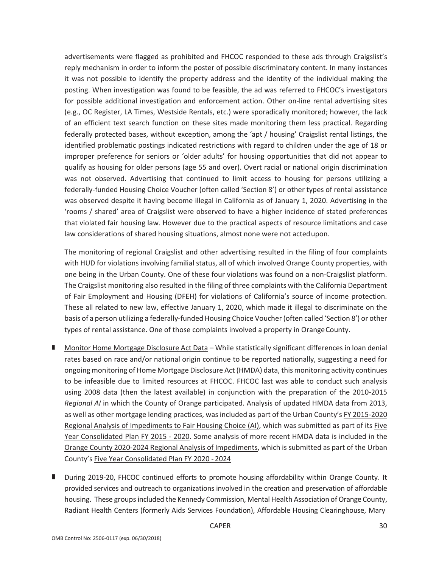advertisements were flagged as prohibited and FHCOC responded to these ads through Craigslist's reply mechanism in order to inform the poster of possible discriminatory content. In many instances it was not possible to identify the property address and the identity of the individual making the posting. When investigation was found to be feasible, the ad was referred to FHCOC's investigators for possible additional investigation and enforcement action. Other on-line rental advertising sites (e.g., OC Register, LA Times, Westside Rentals, etc.) were sporadically monitored; however, the lack of an efficient text search function on these sites made monitoring them less practical. Regarding federally protected bases, without exception, among the 'apt / housing' Craigslist rental listings, the identified problematic postings indicated restrictions with regard to children under the age of 18 or improper preference for seniors or 'older adults' for housing opportunities that did not appear to qualify as housing for older persons (age 55 and over). Overt racial or national origin discrimination was not observed. Advertising that continued to limit access to housing for persons utilizing a federally‐funded Housing Choice Voucher (often called 'Section 8') or other types of rental assistance was observed despite it having become illegal in California as of January 1, 2020. Advertising in the 'rooms / shared' area of Craigslist were observed to have a higher incidence of stated preferences that violated fair housing law. However due to the practical aspects of resource limitations and case law considerations of shared housing situations, almost none were not actedupon.

The monitoring of regional Craigslist and other advertising resulted in the filing of four complaints with HUD for violations involving familial status, all of which involved Orange County properties, with one being in the Urban County. One of these four violations was found on a non‐Craigslist platform. The Craigslist monitoring also resulted in the filing of three complaints with the California Department of Fair Employment and Housing (DFEH) for violations of California's source of income protection. These all related to new law, effective January 1, 2020, which made it illegal to discriminate on the basis of a person utilizing a federally‐funded Housing Choice Voucher (often called 'Section 8') or other types of rental assistance. One of those complaints involved a property in OrangeCounty.

- Monitor Home Mortgage Disclosure Act Data While statistically significant differences in loan denial rates based on race and/or national origin continue to be reported nationally, suggesting a need for ongoing monitoring of Home Mortgage Disclosure Act (HMDA) data, this monitoring activity continues to be infeasible due to limited resources at FHCOC. FHCOC last was able to conduct such analysis using 2008 data (then the latest available) in conjunction with the preparation of the 2010‐2015 *Regional AI* in which the County of Orange participated. Analysis of updated HMDA data from 2013, as well as other mortgage lending practices, was included as part of the Urban County's FY 2015‐2020 Regional Analysis of Impediments to Fair Housing Choice (AI), which was submitted as part of its Five Year Consolidated Plan FY 2015 ‐ 2020. Some analysis of more recent HMDA data is included in the Orange County 2020‐2024 Regional Analysis of Impediments, which is submitted as part of the Urban County's Five Year Consolidated Plan FY 2020 ‐ 2024
- During 2019-20, FHCOC continued efforts to promote housing affordability within Orange County. It provided services and outreach to organizations involved in the creation and preservation of affordable housing. These groups included the Kennedy Commission, Mental Health Association of Orange County, Radiant Health Centers (formerly Aids Services Foundation), Affordable Housing Clearinghouse, Mary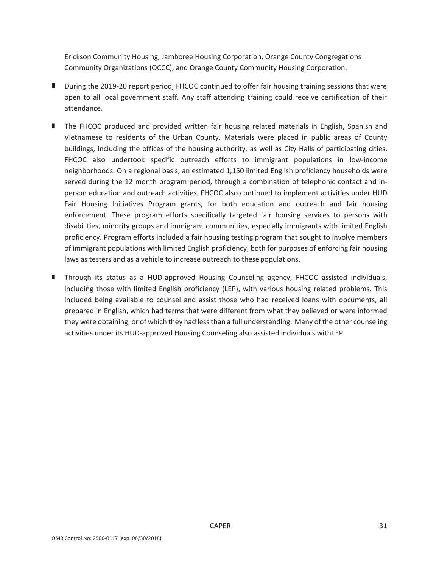Erickson Community Housing, Jamboree Housing Corporation, Orange County Congregations Community Organizations (OCCC), and Orange County Community Housing Corporation.

- During the 2019-20 report period, FHCOC continued to offer fair housing training sessions that were open to all local government staff. Any staff attending training could receive certification of their attendance.
- The FHCOC produced and provided written fair housing related materials in English, Spanish and Vietnamese to residents of the Urban County. Materials were placed in public areas of County buildings, including the offices of the housing authority, as well as City Halls of participating cities. FHCOC also undertook specific outreach efforts to immigrant populations in low-income neighborhoods. On a regional basis, an estimated 1,150 limited English proficiency households were served during the 12 month program period, through a combination of telephonic contact and in‐ person education and outreach activities. FHCOC also continued to implement activities under HUD Fair Housing Initiatives Program grants, for both education and outreach and fair housing enforcement. These program efforts specifically targeted fair housing services to persons with disabilities, minority groups and immigrant communities, especially immigrants with limited English proficiency. Program efforts included a fair housing testing program that sought to involve members of immigrant populations with limited English proficiency, both for purposes of enforcing fair housing laws as testers and as a vehicle to increase outreach to these populations.
- Through its status as a HUD-approved Housing Counseling agency, FHCOC assisted individuals, including those with limited English proficiency (LEP), with various housing related problems. This included being available to counsel and assist those who had received loans with documents, all prepared in English, which had terms that were different from what they believed or were informed they were obtaining, or of which they had lessthan a full understanding. Many of the other counseling activities under its HUD‐approved Housing Counseling also assisted individuals withLEP.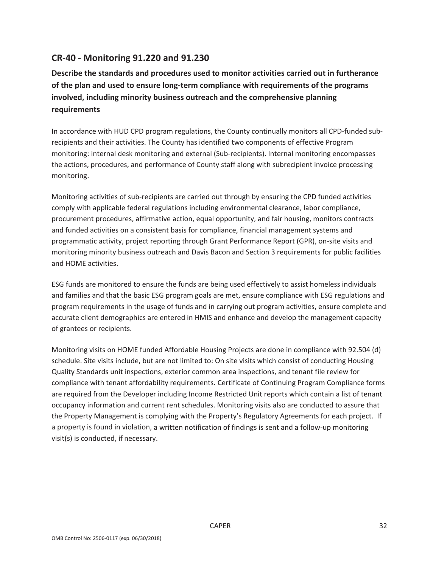## **CR‐40 ‐ Monitoring 91.220 and 91.230**

**Describe the standards and procedures used to monitor activities carried out in furtherance of the plan and used to ensure long‐term compliance with requirements of the programs involved, including minority business outreach and the comprehensive planning requirements**

In accordance with HUD CPD program regulations, the County continually monitors all CPD-funded subrecipients and their activities. The County has identified two components of effective Program monitoring: internal desk monitoring and external (Sub-recipients). Internal monitoring encompasses the actions, procedures, and performance of County staff along with subrecipient invoice processing monitoring.

Monitoring activities of sub‐recipients are carried out through by ensuring the CPD funded activities comply with applicable federal regulations including environmental clearance, labor compliance, procurement procedures, affirmative action, equal opportunity, and fair housing, monitors contracts and funded activities on a consistent basis for compliance, financial management systems and programmatic activity, project reporting through Grant Performance Report (GPR), on‐site visits and monitoring minority business outreach and Davis Bacon and Section 3 requirements for public facilities and HOME activities.

ESG funds are monitored to ensure the funds are being used effectively to assist homeless individuals and families and that the basic ESG program goals are met, ensure compliance with ESG regulations and program requirements in the usage of funds and in carrying out program activities, ensure complete and accurate client demographics are entered in HMIS and enhance and develop the management capacity of grantees or recipients.

Monitoring visits on HOME funded Affordable Housing Projects are done in compliance with 92.504 (d) schedule. Site visits include, but are not limited to: On site visits which consist of conducting Housing Quality Standards unit inspections, exterior common area inspections, and tenant file review for compliance with tenant affordability requirements. Certificate of Continuing Program Compliance forms are required from the Developer including Income Restricted Unit reports which contain a list of tenant occupancy information and current rent schedules. Monitoring visits also are conducted to assure that the Property Management is complying with the Property's Regulatory Agreements for each project. If a property is found in violation, a written notification of findings is sent and a follow‐up monitoring visit(s) is conducted, if necessary.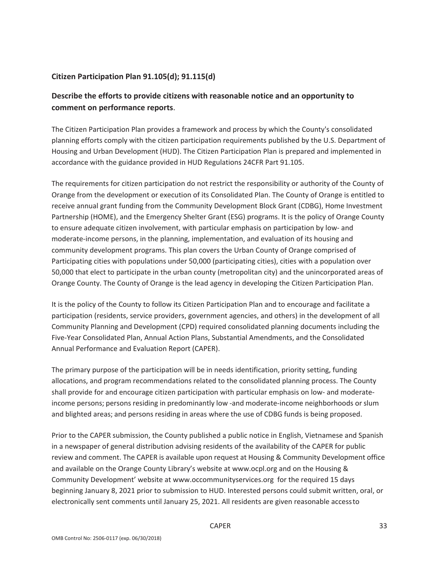## **Citizen Participation Plan 91.105(d); 91.115(d)**

## **Describe the efforts to provide citizens with reasonable notice and an opportunity to comment on performance reports**.

The Citizen Participation Plan provides a framework and process by which the County's consolidated planning efforts comply with the citizen participation requirements published by the U.S. Department of Housing and Urban Development (HUD). The Citizen Participation Plan is prepared and implemented in accordance with the guidance provided in HUD Regulations 24CFR Part 91.105.

The requirements for citizen participation do not restrict the responsibility or authority of the County of Orange from the development or execution of its Consolidated Plan. The County of Orange is entitled to receive annual grant funding from the Community Development Block Grant (CDBG), Home Investment Partnership (HOME), and the Emergency Shelter Grant (ESG) programs. It is the policy of Orange County to ensure adequate citizen involvement, with particular emphasis on participation by low‐ and moderate‐income persons, in the planning, implementation, and evaluation of its housing and community development programs. This plan covers the Urban County of Orange comprised of Participating cities with populations under 50,000 (participating cities), cities with a population over 50,000 that elect to participate in the urban county (metropolitan city) and the unincorporated areas of Orange County. The County of Orange is the lead agency in developing the Citizen Participation Plan.

It is the policy of the County to follow its Citizen Participation Plan and to encourage and facilitate a participation (residents, service providers, government agencies, and others) in the development of all Community Planning and Development (CPD) required consolidated planning documents including the Five‐Year Consolidated Plan, Annual Action Plans, Substantial Amendments, and the Consolidated Annual Performance and Evaluation Report (CAPER).

The primary purpose of the participation will be in needs identification, priority setting, funding allocations, and program recommendations related to the consolidated planning process. The County shall provide for and encourage citizen participation with particular emphasis on low- and moderateincome persons; persons residing in predominantly low ‐and moderate‐income neighborhoods or slum and blighted areas; and persons residing in areas where the use of CDBG funds is being proposed.

Prior to the CAPER submission, the County published a public notice in English, Vietnamese and Spanish in a newspaper of general distribution advising residents of the availability of the CAPER for public review and comment. The CAPER is available upon request at Housing & Community Development office and available on the Orange County Library's website at www.ocpl.org and on the Housing & Community Development' website at www.occommunityservices.org for the required 15 days beginning January 8, 2021 prior to submission to HUD. Interested persons could submit written, oral, or electronically sent comments until January 25, 2021. All residents are given reasonable accessto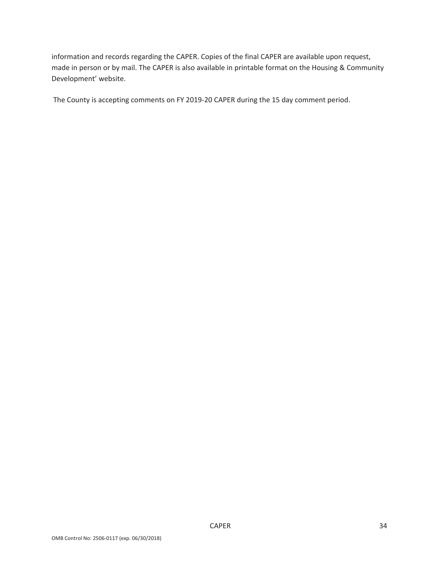information and records regarding the CAPER. Copies of the final CAPER are available upon request, made in person or by mail. The CAPER is also available in printable format on the Housing & Community Development' website.

The County is accepting comments on FY 2019‐20 CAPER during the 15 day comment period.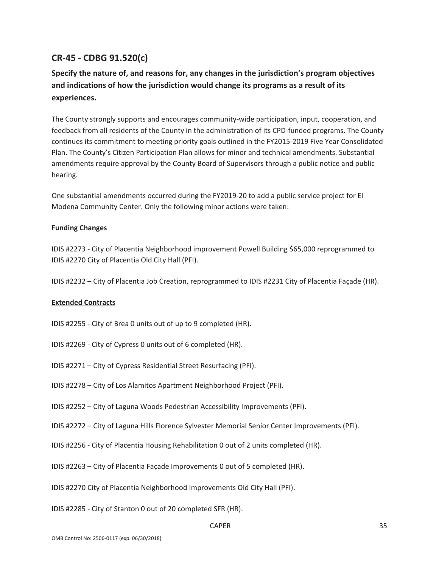## **CR‐45 ‐ CDBG 91.520(c)**

## **Specify the nature of, and reasons for, any changes in the jurisdiction's program objectives and indications of how the jurisdiction would change its programs as a result of its experiences.**

The County strongly supports and encourages community-wide participation, input, cooperation, and feedback from all residents of the County in the administration of its CPD-funded programs. The County continues its commitment to meeting priority goals outlined in the FY2015-2019 Five Year Consolidated Plan. The County's Citizen Participation Plan allows for minor and technical amendments. Substantial amendments require approval by the County Board of Supervisors through a public notice and public hearing.

One substantial amendments occurred during the FY2019‐20 to add a public service project for El Modena Community Center. Only the following minor actions were taken:

### **Funding Changes**

IDIS #2273 ‐ City of Placentia Neighborhood improvement Powell Building \$65,000 reprogrammed to IDIS #2270 City of Placentia Old City Hall (PFI).

IDIS #2232 – City of Placentia Job Creation, reprogrammed to IDIS #2231 City of Placentia Façade (HR).

### **Extended Contracts**

- IDIS #2255 ‐ City of Brea 0 units out of up to 9 completed (HR).
- IDIS #2269 ‐ City of Cypress 0 units out of 6 completed (HR).
- IDIS #2271 City of Cypress Residential Street Resurfacing (PFI).
- IDIS #2278 City of Los Alamitos Apartment Neighborhood Project (PFI).
- IDIS #2252 City of Laguna Woods Pedestrian Accessibility Improvements (PFI).
- IDIS #2272 City of Laguna Hills Florence Sylvester Memorial Senior Center Improvements (PFI).
- IDIS #2256 ‐ City of Placentia Housing Rehabilitation 0 out of 2 units completed (HR).
- IDIS #2263 City of Placentia Façade Improvements 0 out of 5 completed (HR).
- IDIS #2270 City of Placentia Neighborhood Improvements Old City Hall (PFI).
- IDIS #2285 ‐ City of Stanton 0 out of 20 completed SFR (HR).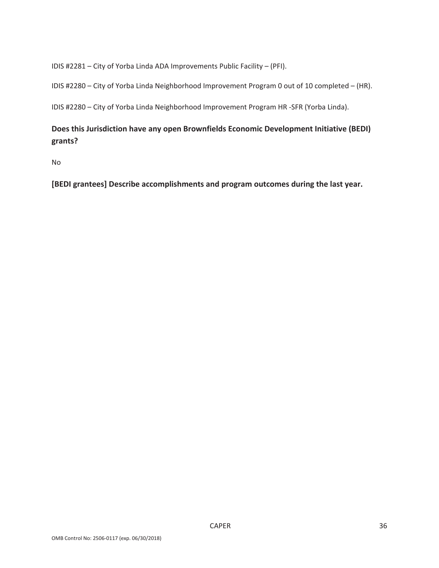IDIS #2281 – City of Yorba Linda ADA Improvements Public Facility – (PFI).

IDIS #2280 – City of Yorba Linda Neighborhood Improvement Program 0 out of 10 completed – (HR).

IDIS #2280 – City of Yorba Linda Neighborhood Improvement Program HR ‐SFR (Yorba Linda).

## **Does this Jurisdiction have any open Brownfields Economic Development Initiative (BEDI) grants?**

No

**[BEDI grantees] Describe accomplishments and program outcomes during the last year.**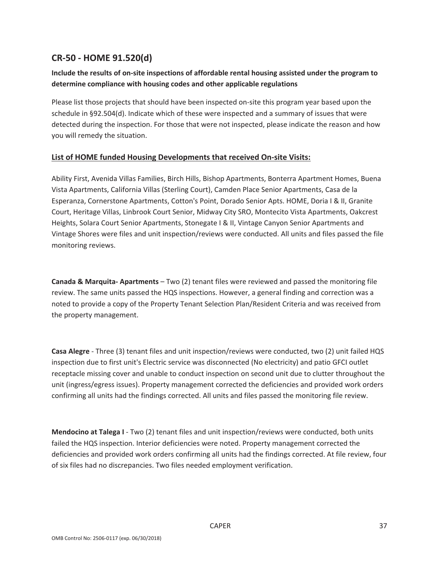## **CR‐50 ‐ HOME 91.520(d)**

## **Include the results of on‐site inspections of affordable rental housing assisted under the program to determine compliance with housing codes and other applicable regulations**

Please list those projects that should have been inspected on-site this program year based upon the schedule in §92.504(d). Indicate which of these were inspected and a summary of issues that were detected during the inspection. For those that were not inspected, please indicate the reason and how you will remedy the situation.

## **List of HOME funded Housing Developments that received On‐site Visits:**

Ability First, Avenida Villas Families, Birch Hills, Bishop Apartments, Bonterra Apartment Homes, Buena Vista Apartments, California Villas (Sterling Court), Camden Place Senior Apartments, Casa de la Esperanza, Cornerstone Apartments, Cotton's Point, Dorado Senior Apts. HOME, Doria I & II, Granite Court, Heritage Villas, Linbrook Court Senior, Midway City SRO, Montecito Vista Apartments, Oakcrest Heights, Solara Court Senior Apartments, Stonegate I & II, Vintage Canyon Senior Apartments and Vintage Shores were files and unit inspection/reviews were conducted. All units and files passed the file monitoring reviews.

**Canada & Marquita‐ Apartments** – Two (2) tenant files were reviewed and passed the monitoring file review. The same units passed the HQS inspections. However, a general finding and correction was a noted to provide a copy of the Property Tenant Selection Plan/Resident Criteria and was received from the property management.

**Casa Alegre** ‐ Three (3) tenant files and unit inspection/reviews were conducted, two (2) unit failed HQS inspection due to first unit's Electric service was disconnected (No electricity) and patio GFCI outlet receptacle missing cover and unable to conduct inspection on second unit due to clutter throughout the unit (ingress/egress issues). Property management corrected the deficiencies and provided work orders confirming all units had the findings corrected. All units and files passed the monitoring file review.

**Mendocino at Talega I** ‐ Two (2) tenant files and unit inspection/reviews were conducted, both units failed the HQS inspection. Interior deficiencies were noted. Property management corrected the deficiencies and provided work orders confirming all units had the findings corrected. At file review, four of six files had no discrepancies. Two files needed employment verification.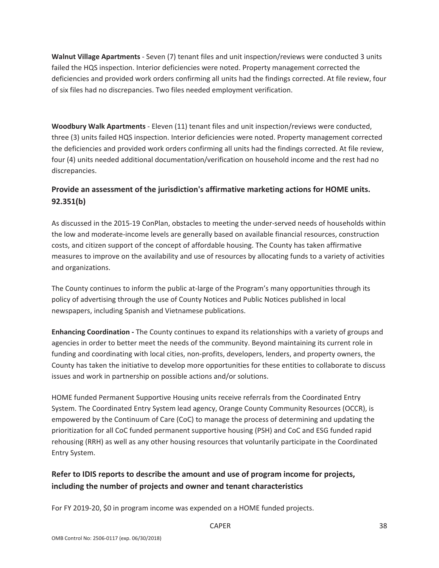**Walnut Village Apartments** ‐ Seven (7) tenant files and unit inspection/reviews were conducted 3 units failed the HQS inspection. Interior deficiencies were noted. Property management corrected the deficiencies and provided work orders confirming all units had the findings corrected. At file review, four of six files had no discrepancies. Two files needed employment verification.

**Woodbury Walk Apartments** ‐ Eleven (11) tenant files and unit inspection/reviews were conducted, three (3) units failed HQS inspection. Interior deficiencies were noted. Property management corrected the deficiencies and provided work orders confirming all units had the findings corrected. At file review, four (4) units needed additional documentation/verification on household income and the rest had no discrepancies.

## **Provide an assessment of the jurisdiction's affirmative marketing actions for HOME units. 92.351(b)**

As discussed in the 2015‐19 ConPlan, obstacles to meeting the under‐served needs of households within the low and moderate‐income levels are generally based on available financial resources, construction costs, and citizen support of the concept of affordable housing. The County has taken affirmative measures to improve on the availability and use of resources by allocating funds to a variety of activities and organizations.

The County continues to inform the public at-large of the Program's many opportunities through its policy of advertising through the use of County Notices and Public Notices published in local newspapers, including Spanish and Vietnamese publications.

**Enhancing Coordination ‐** The County continues to expand its relationships with a variety of groups and agencies in order to better meet the needs of the community. Beyond maintaining its current role in funding and coordinating with local cities, non-profits, developers, lenders, and property owners, the County has taken the initiative to develop more opportunities for these entities to collaborate to discuss issues and work in partnership on possible actions and/or solutions.

HOME funded Permanent Supportive Housing units receive referrals from the Coordinated Entry System. The Coordinated Entry System lead agency, Orange County Community Resources (OCCR), is empowered by the Continuum of Care (CoC) to manage the process of determining and updating the prioritization for all CoC funded permanent supportive housing (PSH) and CoC and ESG funded rapid rehousing (RRH) as well as any other housing resources that voluntarily participate in the Coordinated Entry System.

## **Refer to IDIS reports to describe the amount and use of program income for projects, including the number of projects and owner and tenant characteristics**

For FY 2019-20, \$0 in program income was expended on a HOME funded projects.

### CAPER 38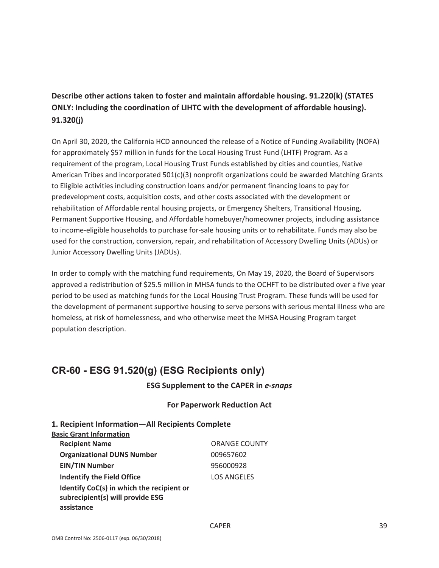## **Describe other actions taken to foster and maintain affordable housing. 91.220(k) (STATES ONLY: Including the coordination of LIHTC with the development of affordable housing). 91.320(j)**

On April 30, 2020, the California HCD announced the release of a Notice of Funding Availability (NOFA) for approximately \$57 million in funds for the Local Housing Trust Fund (LHTF) Program. As a requirement of the program, Local Housing Trust Funds established by cities and counties, Native American Tribes and incorporated 501(c)(3) nonprofit organizations could be awarded Matching Grants to Eligible activities including construction loans and/or permanent financing loans to pay for predevelopment costs, acquisition costs, and other costs associated with the development or rehabilitation of Affordable rental housing projects, or Emergency Shelters, Transitional Housing, Permanent Supportive Housing, and Affordable homebuyer/homeowner projects, including assistance to income‐eligible households to purchase for‐sale housing units or to rehabilitate. Funds may also be used for the construction, conversion, repair, and rehabilitation of Accessory Dwelling Units (ADUs) or Junior Accessory Dwelling Units (JADUs).

In order to comply with the matching fund requirements, On May 19, 2020, the Board of Supervisors approved a redistribution of \$25.5 million in MHSA funds to the OCHFT to be distributed over a five year period to be used as matching funds for the Local Housing Trust Program. These funds will be used for the development of permanent supportive housing to serve persons with serious mental illness who are homeless, at risk of homelessness, and who otherwise meet the MHSA Housing Program target population description.

# **CR-60 - ESG 91.520(g) (ESG Recipients only)**

## **ESG Supplement to the CAPER in** *e‐snaps*

### **For Paperwork Reduction Act**

| 1. Recipient Information-All Recipients Complete<br><b>Basic Grant Information</b>          |                      |
|---------------------------------------------------------------------------------------------|----------------------|
| <b>Recipient Name</b>                                                                       | <b>ORANGE COUNTY</b> |
| <b>Organizational DUNS Number</b>                                                           | 009657602            |
| <b>EIN/TIN Number</b>                                                                       | 956000928            |
| <b>Indentify the Field Office</b>                                                           | <b>LOS ANGELES</b>   |
| Identify CoC(s) in which the recipient or<br>subrecipient(s) will provide ESG<br>assistance |                      |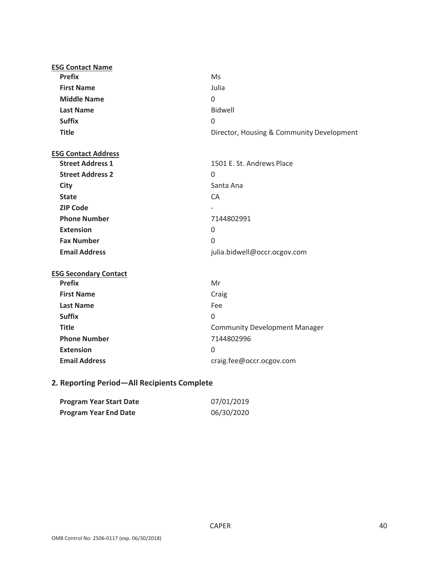| <b>ESG Contact Name</b>      |                                           |
|------------------------------|-------------------------------------------|
| <b>Prefix</b>                | <b>Ms</b>                                 |
| <b>First Name</b>            | Julia                                     |
| <b>Middle Name</b>           | $\Omega$                                  |
| <b>Last Name</b>             | <b>Bidwell</b>                            |
| <b>Suffix</b>                | $\mathbf{0}$                              |
| <b>Title</b>                 | Director, Housing & Community Development |
| <b>ESG Contact Address</b>   |                                           |
| <b>Street Address 1</b>      | 1501 E. St. Andrews Place                 |
| <b>Street Address 2</b>      | $\Omega$                                  |
| <b>City</b>                  | Santa Ana                                 |
| <b>State</b>                 | CA                                        |
| <b>ZIP Code</b>              |                                           |
| <b>Phone Number</b>          | 7144802991                                |
| <b>Extension</b>             | $\Omega$                                  |
| <b>Fax Number</b>            | $\overline{0}$                            |
| <b>Email Address</b>         | julia.bidwell@occr.ocgov.com              |
| <b>ESG Secondary Contact</b> |                                           |
| <b>Prefix</b>                | Mr                                        |
| <b>First Name</b>            | Craig                                     |
| <b>Last Name</b>             | Fee                                       |
| <b>Suffix</b>                | $\Omega$                                  |
| <b>Title</b>                 | <b>Community Development Manager</b>      |
| <b>Phone Number</b>          | 7144802996                                |

## **2. Reporting Period—All Recipients Complete**

**Extension** 0

| Program Year Start Date      | 07/01/2019 |
|------------------------------|------------|
| <b>Program Year End Date</b> | 06/30/2020 |

**Email Address** craig.fee@occr.ocgov.com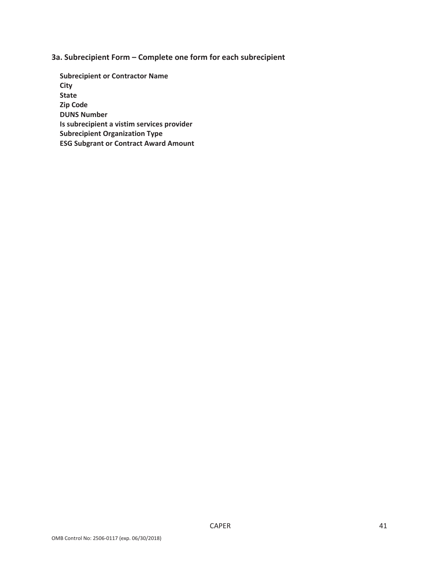**3a. Subrecipient Form – Complete one form for each subrecipient**

**Subrecipient or Contractor Name City State Zip Code DUNS Number Is subrecipient a vistim services provider Subrecipient Organization Type ESG Subgrant or Contract Award Amount**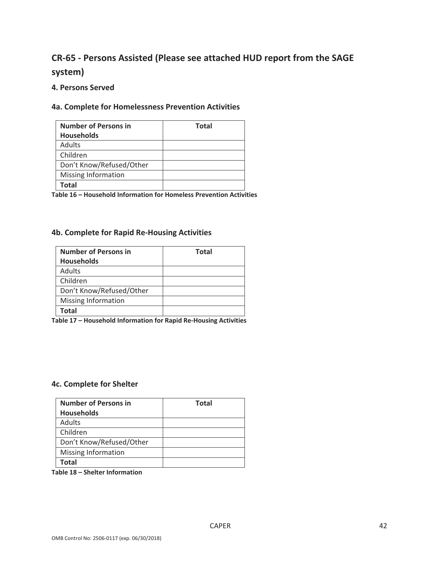# **CR‐65 ‐ Persons Assisted (Please see attached HUD report from the SAGE system)**

### **4. Persons Served**

## **4a. Complete for Homelessness Prevention Activities**

| <b>Number of Persons in</b> | <b>Total</b> |
|-----------------------------|--------------|
| <b>Households</b>           |              |
| Adults                      |              |
| Children                    |              |
| Don't Know/Refused/Other    |              |
| Missing Information         |              |
| Total                       |              |

**Table 16 – Household Information for Homeless Prevention Activities**

### **4b. Complete for Rapid Re‐Housing Activities**

| <b>Number of Persons in</b> | <b>Total</b> |
|-----------------------------|--------------|
| <b>Households</b>           |              |
| <b>Adults</b>               |              |
| Children                    |              |
| Don't Know/Refused/Other    |              |
| Missing Information         |              |
| Total                       |              |

**Table 17 – Household Information for Rapid Re‐Housing Activities**

### **4c. Complete for Shelter**

| <b>Number of Persons in</b> | <b>Total</b> |
|-----------------------------|--------------|
| <b>Households</b>           |              |
| <b>Adults</b>               |              |
| Children                    |              |
| Don't Know/Refused/Other    |              |
| <b>Missing Information</b>  |              |
| Total                       |              |

**Table 18 – Shelter Information**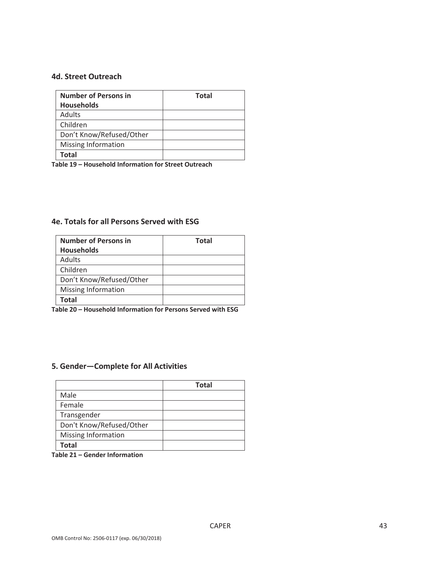### **4d. Street Outreach**

| <b>Number of Persons in</b> | <b>Total</b> |
|-----------------------------|--------------|
| <b>Households</b>           |              |
| Adults                      |              |
| Children                    |              |
| Don't Know/Refused/Other    |              |
| Missing Information         |              |
| Total                       |              |

**Table 19 – Household Information for Street Outreach**

## **4e. Totals for all Persons Served with ESG**

| <b>Number of Persons in</b> | <b>Total</b> |
|-----------------------------|--------------|
| <b>Households</b>           |              |
| Adults                      |              |
| Children                    |              |
| Don't Know/Refused/Other    |              |
| Missing Information         |              |
| Total                       |              |

**Table 20 – Household Information for Persons Served with ESG**

## **5. Gender—Complete for All Activities**

|                          | <b>Total</b> |
|--------------------------|--------------|
| Male                     |              |
| Female                   |              |
| Transgender              |              |
| Don't Know/Refused/Other |              |
| Missing Information      |              |
| Total                    |              |

**Table 21 – Gender Information**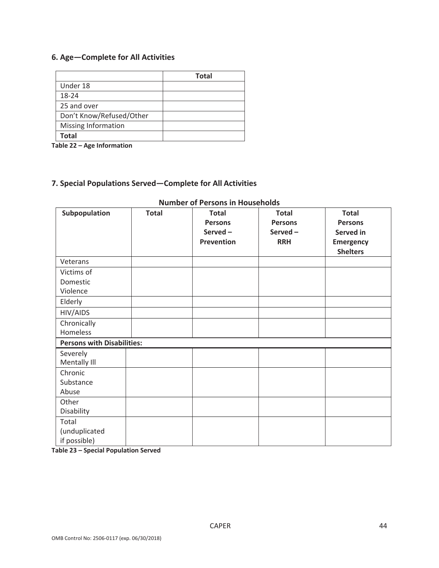## **6. Age—Complete for All Activities**

|                          | <b>Total</b> |
|--------------------------|--------------|
| Under 18                 |              |
| 18-24                    |              |
| 25 and over              |              |
| Don't Know/Refused/Other |              |
| Missing Information      |              |
| <b>Total</b>             |              |

**Table 22 – Age Information**

## **7. Special Populations Served—Complete for All Activities**

| Subpopulation                     | <b>Total</b> | <b>Total</b>   | <b>Total</b>   | <b>Total</b>     |
|-----------------------------------|--------------|----------------|----------------|------------------|
|                                   |              | <b>Persons</b> | <b>Persons</b> | <b>Persons</b>   |
|                                   |              | Served-        | Served-        | Served in        |
|                                   |              | Prevention     | <b>RRH</b>     | <b>Emergency</b> |
|                                   |              |                |                | <b>Shelters</b>  |
| Veterans                          |              |                |                |                  |
| Victims of                        |              |                |                |                  |
| Domestic                          |              |                |                |                  |
| Violence                          |              |                |                |                  |
| Elderly                           |              |                |                |                  |
| HIV/AIDS                          |              |                |                |                  |
| Chronically                       |              |                |                |                  |
| Homeless                          |              |                |                |                  |
| <b>Persons with Disabilities:</b> |              |                |                |                  |
| Severely                          |              |                |                |                  |
| Mentally III                      |              |                |                |                  |
| Chronic                           |              |                |                |                  |
| Substance                         |              |                |                |                  |
| Abuse                             |              |                |                |                  |
| Other                             |              |                |                |                  |
| Disability                        |              |                |                |                  |
| Total                             |              |                |                |                  |
| (unduplicated                     |              |                |                |                  |
| if possible)                      |              |                |                |                  |

## **Number of Persons in Households**

**Table 23 – Special Population Served**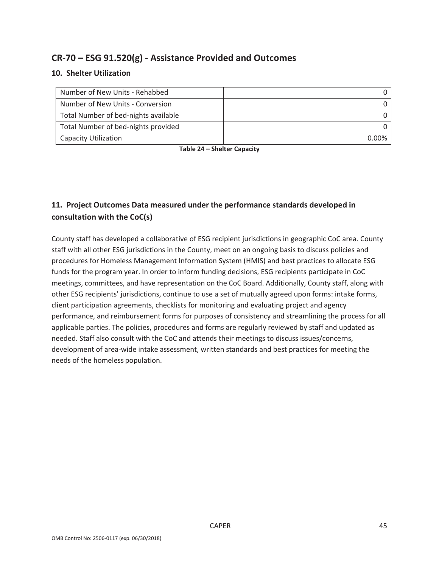## **CR‐70 – ESG 91.520(g) ‐ Assistance Provided and Outcomes**

## **10. Shelter Utilization**

| Number of New Units - Rehabbed       |  |
|--------------------------------------|--|
| Number of New Units - Conversion     |  |
| Total Number of bed-nights available |  |
| Total Number of bed-nights provided  |  |
| <b>Capacity Utilization</b>          |  |

**Table 24 – Shelter Capacity**

## **11. Project Outcomes Data measured under the performance standards developed in consultation with the CoC(s)**

County staff has developed a collaborative of ESG recipient jurisdictions in geographic CoC area. County staff with all other ESG jurisdictions in the County, meet on an ongoing basis to discuss policies and procedures for Homeless Management Information System (HMIS) and best practices to allocate ESG funds for the program year. In order to inform funding decisions, ESG recipients participate in CoC meetings, committees, and have representation on the CoC Board. Additionally, County staff, along with other ESG recipients' jurisdictions, continue to use a set of mutually agreed upon forms: intake forms, client participation agreements, checklists for monitoring and evaluating project and agency performance, and reimbursement forms for purposes of consistency and streamlining the process for all applicable parties. The policies, procedures and forms are regularly reviewed by staff and updated as needed. Staff also consult with the CoC and attends their meetings to discuss issues/concerns, development of area‐wide intake assessment, written standards and best practices for meeting the needs of the homeless population.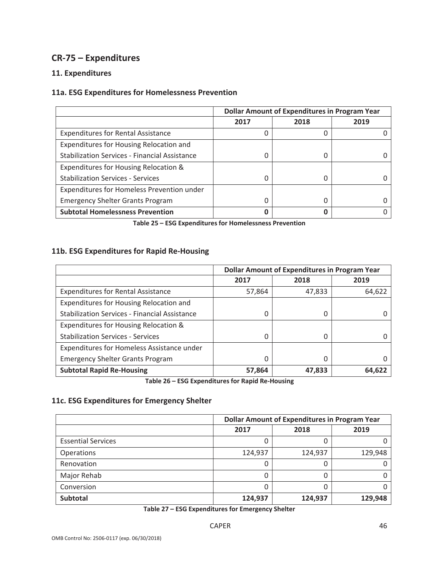## **CR‐75 – Expenditures**

## **11. Expenditures**

## **11a. ESG Expenditures for Homelessness Prevention**

|                                                      | <b>Dollar Amount of Expenditures in Program Year</b> |      |      |
|------------------------------------------------------|------------------------------------------------------|------|------|
|                                                      | 2017                                                 | 2018 | 2019 |
| <b>Expenditures for Rental Assistance</b>            |                                                      | 0    |      |
| Expenditures for Housing Relocation and              |                                                      |      |      |
| <b>Stabilization Services - Financial Assistance</b> |                                                      | 0    |      |
| Expenditures for Housing Relocation &                |                                                      |      |      |
| <b>Stabilization Services - Services</b>             |                                                      | 0    |      |
| Expenditures for Homeless Prevention under           |                                                      |      |      |
| <b>Emergency Shelter Grants Program</b>              |                                                      | 0    |      |
| <b>Subtotal Homelessness Prevention</b>              |                                                      | Ω    |      |

**Table 25 – ESG Expenditures for Homelessness Prevention**

## **11b. ESG Expenditures for Rapid Re‐Housing**

|                                                      | <b>Dollar Amount of Expenditures in Program Year</b> |        |        |
|------------------------------------------------------|------------------------------------------------------|--------|--------|
|                                                      | 2017                                                 | 2018   | 2019   |
| <b>Expenditures for Rental Assistance</b>            | 57,864                                               | 47,833 | 64,622 |
| Expenditures for Housing Relocation and              |                                                      |        |        |
| <b>Stabilization Services - Financial Assistance</b> | 0                                                    | 0      |        |
| Expenditures for Housing Relocation &                |                                                      |        |        |
| <b>Stabilization Services - Services</b>             | $\Omega$                                             | 0      |        |
| Expenditures for Homeless Assistance under           |                                                      |        |        |
| <b>Emergency Shelter Grants Program</b>              | 0                                                    | 0      |        |
| <b>Subtotal Rapid Re-Housing</b>                     | 57,864                                               | 47,833 | 64,622 |

**Table 26 – ESG Expenditures for Rapid Re‐Housing**

## **11c. ESG Expenditures for Emergency Shelter**

|                           | <b>Dollar Amount of Expenditures in Program Year</b> |         |         |
|---------------------------|------------------------------------------------------|---------|---------|
|                           | 2017                                                 | 2018    | 2019    |
| <b>Essential Services</b> |                                                      | 0       |         |
| Operations                | 124,937                                              | 124,937 | 129,948 |
| Renovation                |                                                      | 0       |         |
| Major Rehab               |                                                      | 0       |         |
| Conversion                |                                                      | 0       |         |
| Subtotal                  | 124,937                                              | 124,937 | 129,948 |

**Table 27 – ESG Expenditures for Emergency Shelter**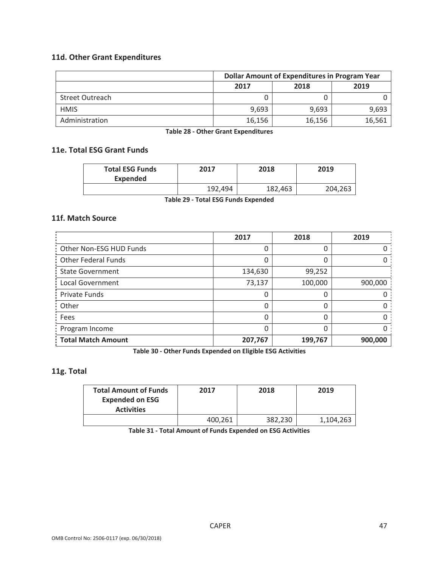## **11d. Other Grant Expenditures**

|                        | <b>Dollar Amount of Expenditures in Program Year</b> |        |        |  |
|------------------------|------------------------------------------------------|--------|--------|--|
|                        | 2018<br>2019<br>2017                                 |        |        |  |
| <b>Street Outreach</b> |                                                      |        |        |  |
| <b>HMIS</b>            | 9.693                                                | 9,693  | 9,693  |  |
| Administration         | 16,156                                               | 16,156 | 16,561 |  |

**Table 28 ‐ Other Grant Expenditures**

### **11e. Total ESG Grant Funds**

| <b>Total ESG Funds</b><br><b>Expended</b> | 2017    | 2018    | 2019    |
|-------------------------------------------|---------|---------|---------|
|                                           | 192,494 | 182,463 | 204,263 |

**Table 29 ‐ Total ESG Funds Expended**

## **11f. Match Source**

|                           | 2017    | 2018    | 2019    |
|---------------------------|---------|---------|---------|
| Other Non-ESG HUD Funds   |         | 0       |         |
| Other Federal Funds       | 0       | 0       |         |
| <b>State Government</b>   | 134,630 | 99,252  |         |
| Local Government          | 73,137  | 100,000 | 900,000 |
| Private Funds             | 0       | 0       |         |
| Other                     |         | 0       |         |
| Fees                      | O       | 0       |         |
| Program Income            | 0       | 0       |         |
| <b>Total Match Amount</b> | 207,767 | 199,767 | 900,000 |

**Table 30 ‐ Other Funds Expended on Eligible ESG Activities**

## **11g. Total**

| <b>Total Amount of Funds</b><br><b>Expended on ESG</b><br><b>Activities</b> | 2017    | 2018    | 2019      |
|-----------------------------------------------------------------------------|---------|---------|-----------|
|                                                                             | 400,261 | 382,230 | 1,104,263 |

**Table 31 ‐ Total Amount of Funds Expended on ESG Activities**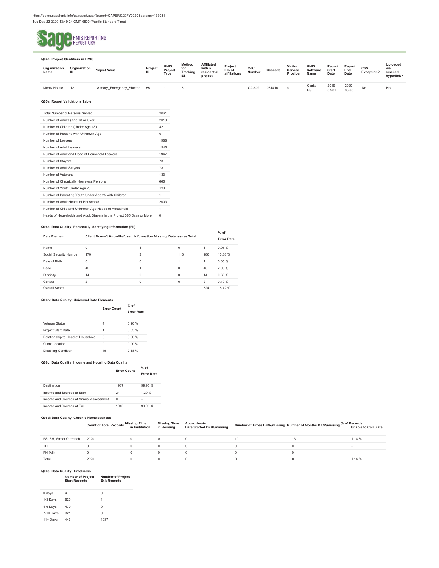

#### **Q04a: Project Identifiers in HMIS Organization Name Organization Project Name ID Project ID HMIS Project Type Method for Tracking ES Affiliated with a residential project Project IDs of affiliations CoC Geocode Number Victim Service Provider HMIS Software Name Report Start Date Report End Date CSV Exception? Uploaded via emailed hyperlink?**  Mercy House 12 Armory\_Emergency\_Shelter 55 1 3 CA-602 061416 0 Clarity<br>HS 2019- 07-01 2020- 06-30 No No

**% of** 

#### **Q05a: Report Validations Table**

| <b>Total Number of Persons Served</b>                                 | 2061     |
|-----------------------------------------------------------------------|----------|
| Number of Adults (Age 18 or Over)                                     | 2019     |
| Number of Children (Under Age 18)                                     | 42       |
| Number of Persons with Unknown Age                                    | $\Omega$ |
| Number of Leavers                                                     | 1988     |
| Number of Adult Leavers                                               | 1946     |
| Number of Adult and Head of Household Leavers                         | 1947     |
| Number of Stayers                                                     | 73       |
| Number of Adult Stayers                                               | 73       |
| Number of Veterans                                                    | 133      |
| Number of Chronically Homeless Persons                                | 666      |
| Number of Youth Under Age 25                                          | 123      |
| Number of Parenting Youth Under Age 25 with Children                  | 1        |
| Number of Adult Heads of Household                                    | 2003     |
| Number of Child and Unknown-Age Heads of Household                    | 1        |
| Heads of Households and Adult Stayers in the Project 365 Days or More | $\Omega$ |
|                                                                       |          |

#### **Q06a: Data Quality: Personally Identifying Information (PII)**

| Data Element           | Client Doesn't Know/Refused Information Missing Data Issues Total |   |          |                | .<br><b>Error Rate</b> |
|------------------------|-------------------------------------------------------------------|---|----------|----------------|------------------------|
| Name                   | $\Omega$                                                          |   | $\Omega$ | 1              | 0.05%                  |
| Social Security Number | 170                                                               | 3 | 113      | 286            | 13.88%                 |
| Date of Birth          | $\Omega$                                                          | 0 |          | 1              | 0.05%                  |
| Race                   | 42                                                                |   | $\Omega$ | 43             | 2.09%                  |
| Ethnicity              | 14                                                                | 0 | $\Omega$ | 14             | 0.68%                  |
| Gender                 | 2                                                                 | 0 | $\Omega$ | $\mathfrak{p}$ | 0.10%                  |
| Overall Score          |                                                                   |   |          | 324            | 15.72 %                |

#### **Q06b: Data Quality: Universal Data Elements**

|                                   | <b>Error Count</b> | $%$ of<br><b>Error Rate</b> |
|-----------------------------------|--------------------|-----------------------------|
| Veteran Status                    | 4                  | 0.20%                       |
| Project Start Date                | 1                  | 0.05%                       |
| Relationship to Head of Household | $\Omega$           | 0.00 %                      |
| Client Location                   | $\Omega$           | 0.00 %                      |
| <b>Disabling Condition</b>        | 45                 | 2.18%                       |

#### **Q06c: Data Quality: Income and Housing Data Quality**

|                    | $%$ of            |
|--------------------|-------------------|
| <b>Error Count</b> | <b>Error Rate</b> |

| Destination                             | 1987 | 99 95 % |
|-----------------------------------------|------|---------|
| Income and Sources at Start             | 24   | 1.20%   |
| Income and Sources at Annual Assessment |      | -       |
| Income and Sources at Exit              | 1946 | 99.95%  |

#### **Q06d: Data Quality: Chronic Homelessness**

|  |  | WOOD, DUU WUUHU, OHI OHIU HOHIUIGOHIUOO |  |
|--|--|-----------------------------------------|--|
|  |  |                                         |  |

Count of Total Records Missing Missing Time Approximate<br>Count of Total Records in Institution in Housing Date Started DK/R/missing Number of Times DK/R/missing Number of Months DK/R/missing Soft Unable to Calculate

| ES, SH, Street Outreach | 2020 |  | 19 | .14%   |
|-------------------------|------|--|----|--------|
| TH                      |      |  |    | $\sim$ |
| PH (All)                |      |  |    | -      |
| Total                   | 2020 |  |    | 1.14%  |

#### **Q06e: Data Quality: Timeliness**

| <b>Number of Project</b><br><b>Exit Records</b> |
|-------------------------------------------------|
|                                                 |

| 0 days    | 4   | Ω    |
|-----------|-----|------|
| 1-3 Days  | 823 | 1    |
| 4-6 Days  | 470 | Ω    |
| 7-10 Days | 321 | Ω    |
| 11+ Days  | 443 | 1987 |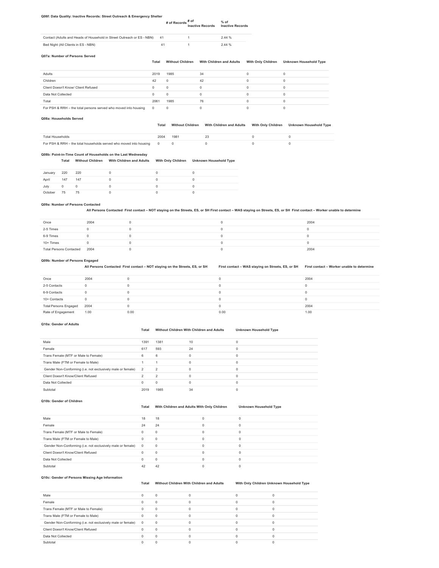#### **Q06f: Data Quality: Inactive Records: Street Outreach & Emergency Shelter**

| $#$ of Records $#$ of<br><b>Inactive Records</b> | $%$ of<br><b>Inactive Records</b> |
|--------------------------------------------------|-----------------------------------|
|                                                  |                                   |

| Contact (Adults and Heads of Household in Street Outreach or ES - NBN) 41 |  | 2.44% |
|---------------------------------------------------------------------------|--|-------|
| Bed Night (All Clients in ES - NBN)                                       |  | 2.44% |

#### **Q07a: Number of Persons Served**

#### Total Without Children With Children and Adults With Only Children Unknown Household Type

| Adults                                                          | 2019       | 1985     | 34 |   |  |
|-----------------------------------------------------------------|------------|----------|----|---|--|
| Children                                                        | 42         |          | 42 | 0 |  |
| Client Doesn't Know/ Client Refused                             |            | $\Omega$ |    | 0 |  |
| Data Not Collected                                              |            |          |    | 0 |  |
| Total                                                           | 2061       | 1985     | 76 |   |  |
| For PSH & RRH - the total persons served who moved into housing | $^{\circ}$ |          |    |   |  |

#### **Q08a: Households Served**

#### **Total Without Children With Children and Adults With Only Children Unknown Household Type**

| Total<br><sup>-1</sup> Householo                                                | 198 |  |  |
|---------------------------------------------------------------------------------|-----|--|--|
| & RRH<br>$\alpha$ – the total households served who moved into housing $\alpha$ |     |  |  |

#### **Q08b: Point-in-Time Count of Households on the Last Wednesday**

|             | Total | <b>Without Children</b> | <b>With Children and Adults</b> | <b>With Only Children</b> | <b>Unknown Household Type</b> |
|-------------|-------|-------------------------|---------------------------------|---------------------------|-------------------------------|
| January     | 220   | 220                     |                                 |                           |                               |
| April       | 147   | 147                     |                                 |                           |                               |
| <b>Lubs</b> |       |                         |                                 |                           |                               |

| Jul |           |           |  |        |
|-----|-----------|-----------|--|--------|
|     | 75<br>- 1 | - -<br>۰. |  | $\sim$ |

### **Q09a: Number of Persons Contacted**

**All Persons Contacted First contact – NOT staying on the Streets, ES, or SH First contact – WAS staying on Streets, ES, or SH First contact – Worker unable to determine** 

| Once                         | 2004 |  | 2004 |
|------------------------------|------|--|------|
| 2-5 Times                    |      |  |      |
| 6-9 Times                    |      |  |      |
| 10+ Times                    |      |  |      |
| Total Persons Contacted 2004 |      |  | 2004 |

#### **Q09b: Number of Persons Engaged**

**All Persons Contacted First contact – NOT staying on the Streets, ES, or SH First contact – WAS staying on Streets, ES, or SH First contact – Worker unable to determine** 

| Once                         | 2004 |      |      | 2004 |
|------------------------------|------|------|------|------|
| 2-5 Contacts                 | 0    |      |      |      |
| 6-9 Contacts                 | 0    |      |      |      |
| 10+ Contacts                 |      |      |      |      |
| <b>Total Persons Engaged</b> | 2004 |      |      | 2004 |
| Rate of Engagement           | 1.00 | 0.00 | 0.00 | 1.00 |

#### **Q10a: Gender of Adults**

#### **Total Without Children With Children and Adults Unknown Household Type**

| Male                                                          | 1391     | 1381                     | 10 |   |
|---------------------------------------------------------------|----------|--------------------------|----|---|
| Female                                                        | 617      | 593                      | 24 |   |
| Trans Female (MTF or Male to Female)                          | 6        | 6                        | 0  |   |
| Trans Male (FTM or Female to Male)                            |          |                          |    | 0 |
| Gender Non-Conforming (i.e. not exclusively male or female) 2 |          | $\overline{\phantom{a}}$ |    |   |
| Client Doesn't Know/Client Refused                            |          | 2                        |    |   |
| Data Not Collected                                            | $\Omega$ | $\Omega$                 |    | O |
| Subtotal                                                      | 2019     | 1985                     | 34 |   |

**Q10b: Gender of Children** 

### **Total With Children and Adults With Only Children Unknown Household Type**

| Male                                                        | 18             | 18       |  |
|-------------------------------------------------------------|----------------|----------|--|
| Female                                                      | 24             | 24       |  |
| Trans Female (MTF or Male to Female)                        |                |          |  |
| Trans Male (FTM or Female to Male)                          |                |          |  |
| Gender Non-Conforming (i.e. not exclusively male or female) | $\overline{0}$ | $\Omega$ |  |
| Client Doesn't Know/Client Refused                          |                |          |  |
| Data Not Collected                                          |                |          |  |
| Subtotal                                                    |                |          |  |

### **Q10c: Gender of Persons Missing Age Information**

**Total Without Children With Children and Adults With Only Children Unknown Household Type** 

| Male                                                          |          |  |  |
|---------------------------------------------------------------|----------|--|--|
| Female                                                        |          |  |  |
| Trans Female (MTF or Male to Female)                          | $\Omega$ |  |  |
| Trans Male (FTM or Female to Male)                            | $\Omega$ |  |  |
| Gender Non-Conforming (i.e. not exclusively male or female) 0 | $\Omega$ |  |  |
| Client Doesn't Know/Client Refused                            |          |  |  |
| Data Not Collected                                            |          |  |  |
| Subtotal                                                      |          |  |  |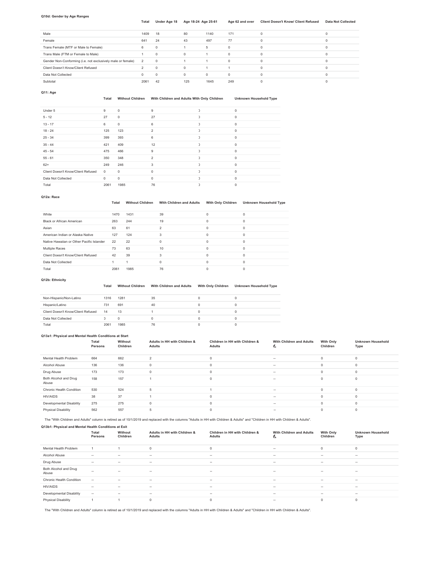#### **Q10d: Gender by Age Ranges**

### **Total Under Age 18 Age 18-24 Age 25-61 Age 62 and over Client Doesn't Know/ Client Refused Data Not Collected**

| Male                                                          | 1409 | 18       | 80       | 1140     | 171      |  |
|---------------------------------------------------------------|------|----------|----------|----------|----------|--|
| Female                                                        | 641  | 24       | 43       | 497      | 77       |  |
| Trans Female (MTF or Male to Female)                          | 6    | $\Omega$ |          | 5        | $\Omega$ |  |
| Trans Male (FTM or Female to Male)                            |      | $\Omega$ | $\Omega$ |          | $\Omega$ |  |
| Gender Non-Conforming (i.e. not exclusively male or female) 2 |      | $\circ$  |          |          | $\Omega$ |  |
| Client Doesn't Know/Client Refused                            |      | $\Omega$ | $\Omega$ |          |          |  |
| Data Not Collected                                            |      | $\Omega$ | $\Omega$ | $\Omega$ | 0        |  |
| Subtotal                                                      | 2061 | 42       | 125      | 1645     | 249      |  |

**Q11: Age** 

### **Total Without Children With Children and Adults With Only Children Unknown Household Type**

| Under 5                            | 9        | $\mathbf 0$ | 9              | $\mathbf 0$ |
|------------------------------------|----------|-------------|----------------|-------------|
| $5 - 12$                           | 27       | $\mathbf 0$ | 27             | $\mathbf 0$ |
| $13 - 17$                          | 6        | $\mathbf 0$ | 6              | $\mathbf 0$ |
| $18 - 24$                          | 125      | 123         | $\mathfrak{p}$ | $\Omega$    |
| $25 - 34$                          | 399      | 393         | 6              | $\Omega$    |
| $35 - 44$                          | 421      | 409         | 12             | $\Omega$    |
| $45 - 54$                          | 475      | 466         | 9              | $\Omega$    |
| $55 - 61$                          | 350      | 348         | $\mathfrak{p}$ | $\Omega$    |
| $62+$                              | 249      | 246         | 3              | $\Omega$    |
| Client Doesn't Know/Client Refused | $\circ$  | $\mathbf 0$ | $\Omega$       | $\Omega$    |
| Data Not Collected                 | $\Omega$ | $\mathbf 0$ | $\Omega$       | $\Omega$    |
| Total                              | 2061     | 1985        | 76             | $\Omega$    |

### **Q12a: Race**

#### **Total Without Children With Children and Adults With Only Children Unknown Household Type**

| White                                     | 1470 | 1431 | 39 | O        |  |
|-------------------------------------------|------|------|----|----------|--|
| Black or African American                 | 263  | 244  | 19 | $\Omega$ |  |
| Asian                                     | 63   | 61   |    | U        |  |
| American Indian or Alaska Native          | 127  | 124  | 3  | $\Omega$ |  |
| Native Hawaiian or Other Pacific Islander | 22   | 22   | O  | $\Omega$ |  |
| Multiple Races                            | 73   | 63   | 10 | $\Omega$ |  |
| Client Doesn't Know/Client Refused        | 42   | 39   | 3  | U        |  |
| Data Not Collected                        |      |      | 0  | $\Omega$ |  |
| Total                                     | 2061 | 1985 | 76 |          |  |

### **Q12b: Ethnicity**

#### **Total Without Children With Children and Adults With Only Children Unknown Household Type**

| Non-Hispanic/Non-Latino            | 1316 | 1281 | 35 |  |
|------------------------------------|------|------|----|--|
| Hispanic/Latino                    | 731  | 691  | 40 |  |
| Client Doesn't Know/Client Refused | 14   | 13   |    |  |
| Data Not Collected                 |      |      |    |  |
| Total                              | 206' | 1985 | 76 |  |

#### **Q13a1: Physical and Mental Health Conditions at Start**

|                                | Total<br>Persons | Without<br>Children | Adults in HH with Children &<br><b>Adults</b> | Children in HH with Children &<br><b>Adults</b> | With Children and Adults<br>ີ | <b>With Only</b><br>Children | <b>Unknown Household</b><br>Type |
|--------------------------------|------------------|---------------------|-----------------------------------------------|-------------------------------------------------|-------------------------------|------------------------------|----------------------------------|
| Mental Health Problem          | 664              | 662                 | $\mathfrak{p}$                                | $\Omega$                                        | m.                            | $\Omega$                     | $\Omega$                         |
| Alcohol Abuse                  | 136              | 136                 | $\Omega$                                      |                                                 | -                             |                              |                                  |
| Drug Abuse                     | 173              | 173                 | $^{\circ}$                                    |                                                 | -                             | $\Omega$                     | $\Omega$                         |
| Both Alcohol and Drug<br>Abuse | 158              | 157                 |                                               |                                                 | -                             |                              |                                  |
| Chronic Health Condition       | 530              | 524                 | 5                                             |                                                 | $\sim$                        | $\Omega$                     |                                  |
| <b>HIV/AIDS</b>                | 38               | 37                  |                                               |                                                 | -                             | $\Omega$                     | $\Omega$                         |
| Developmental Disability       | 275              | 275                 | $\Omega$                                      | $\Omega$                                        | $\sim$                        | $\Omega$                     | $\Omega$                         |
| <b>Physical Disability</b>     | 562              | 557                 | 5                                             |                                                 | -                             | $\Omega$                     |                                  |

The "With Children and Adults" column is retired as of 10/1/2019 and replaced with the columns "Adults in HH with Children & Adults" and "Children in HH with Children & Adults".

| Q13b1: Physical and Mental Health Conditions at Exit |                  |                     |                                        |                                                 |                               |                              |                                  |  |  |
|------------------------------------------------------|------------------|---------------------|----------------------------------------|-------------------------------------------------|-------------------------------|------------------------------|----------------------------------|--|--|
|                                                      | Total<br>Persons | Without<br>Children | Adults in HH with Children &<br>Adults | Children in HH with Children &<br><b>Adults</b> | With Children and Adults<br>U | <b>With Only</b><br>Children | <b>Unknown Household</b><br>Type |  |  |
| Mental Health Problem                                |                  |                     | $\mathbf 0$                            | $\circ$                                         | $\sim$                        | 0                            | $\mathbf 0$                      |  |  |
| Alcohol Abuse                                        | -                | -                   | $\sim$                                 | <b>Service</b>                                  | -                             | -                            | $\sim$                           |  |  |
| Drug Abuse                                           | $\sim$           | $\sim$              | $\sim$                                 | $\sim$                                          | $\sim$                        | $\sim$                       | $\sim$                           |  |  |
| Both Alcohol and Drug<br>Abuse                       | $\sim$           | $\sim$              | $\sim$                                 | $\sim$                                          | $\sim$                        | $\sim$                       | $\sim$                           |  |  |
| Chronic Health Condition                             | $\sim$           | $\sim$              | $\sim$                                 | $\sim$                                          | $\sim$                        | $\sim$                       | $\sim$                           |  |  |
| <b>HIV/AIDS</b>                                      | $\sim$           | -                   | $\sim$                                 | <b>Section</b>                                  | -                             | -                            | $\sim$                           |  |  |
| Developmental Disability                             | $\sim$           | $\sim$              | $\sim$                                 | $\sim$                                          | $\sim$                        | $\sim$                       | $\sim$                           |  |  |
| <b>Physical Disability</b>                           |                  |                     | 0                                      | $\Omega$                                        | $\sim$                        | 0                            | $^{\circ}$                       |  |  |

The "With Children and Adults" column is retired as of 10/1/2019 and replaced with the columns "Adults in HH with Children & Adults" and "Children in HH with Children & Adults".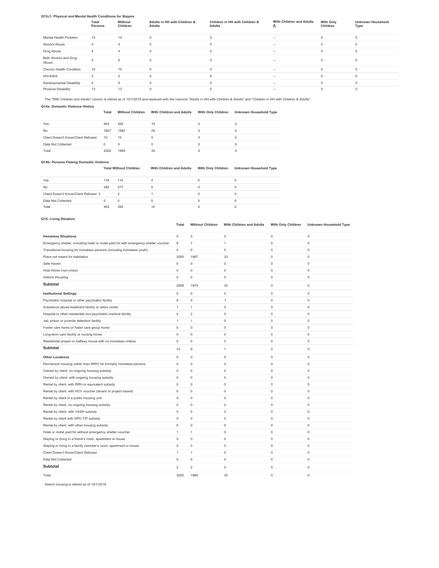### **Q13c1: Physical and Mental Health Conditions for Stayers**

|                                | Total<br>Persons | Without<br>Children | Adults in HH with Children &<br><b>Adults</b> | Children in HH with Children &<br>Adults | With Children and Adults<br>$\tilde{\phantom{a}}$ | <b>With Only</b><br>Children | <b>Unknown Household</b><br>Type |  |  |
|--------------------------------|------------------|---------------------|-----------------------------------------------|------------------------------------------|---------------------------------------------------|------------------------------|----------------------------------|--|--|
| Mental Health Problem          | 14               | 14                  | $\Omega$                                      | $\Omega$                                 | -                                                 | $\Omega$                     | $\Omega$                         |  |  |
| Alcohol Abuse                  | $\overline{4}$   | $\Delta$            | $\Omega$                                      |                                          | -                                                 | $\Omega$                     |                                  |  |  |
| Drug Abuse                     | Δ                | Δ                   | $\Omega$                                      | $\Omega$                                 | -                                                 | $\Omega$                     | $\Omega$                         |  |  |
| Both Alcohol and Drug<br>Abuse |                  | 5                   | $\Omega$                                      | $\Omega$                                 | -                                                 | $\Omega$                     |                                  |  |  |
| Chronic Health Condition       | 10               | 10                  | $\Omega$                                      |                                          | <b>Service</b>                                    | $\Omega$                     | $\Omega$                         |  |  |
| <b>HIV/AIDS</b>                | $\mathfrak{D}$   | $\mathfrak{p}$      |                                               | $\Omega$                                 | -                                                 | $\Omega$                     | $\Omega$                         |  |  |
| Developmental Disability       | 5                | 5                   | $\Omega$                                      |                                          | -                                                 | $\Omega$                     |                                  |  |  |
| <b>Physical Disability</b>     | 13               | 13                  |                                               |                                          | -                                                 |                              |                                  |  |  |

The "With Children and Adults" column is retired as of 10/1/2019 and replaced with the columns "Adults in HH with Children & Adults" and "Children in HH with Children & Adults".

**Q14a: Domestic Violence History** 

### **Total Without Children With Children and Adults With Only Children Unknown Household Type**

| Yes                                | 403  | 393  | 10 |  |
|------------------------------------|------|------|----|--|
| No                                 | 1607 | 1582 | 25 |  |
| Client Doesn't Know/Client Refused | 10   | 10   |    |  |
| Data Not Collected                 |      |      |    |  |
| Total                              | 2020 | 1985 | 35 |  |

### **Q14b: Persons Fleeing Domestic Violence**

| <b>Total Without Children</b> | With Children and Adults | With Only Children Unknown Household Type |
|-------------------------------|--------------------------|-------------------------------------------|
|                               |                          |                                           |

| Yes                                  | 118 | 114 |    |  |
|--------------------------------------|-----|-----|----|--|
| No                                   | 282 | 277 |    |  |
| Client Doesn't Know/Client Refused 3 |     |     |    |  |
| Data Not Collected                   |     | 0   |    |  |
| Total                                | 403 | 393 | 10 |  |
|                                      |     |     |    |  |

### **Q15: Living Situation**

### **Total Without Children With Children and Adults With Only Children Unknown Household Type**

| <b>Homeless Situations</b>                                                          | $\circ$             | $\mathsf 0$         | $\mathbb O$         | 0                   | $\bf{0}$            |
|-------------------------------------------------------------------------------------|---------------------|---------------------|---------------------|---------------------|---------------------|
| Emergency shelter, including hotel or motel paid for with emergency shelter voucher | 8                   | $\overline{7}$      | $\mathbf{1}$        | 0                   | $\mathsf 0$         |
| Transitional housing for homeless persons (including homeless youth)                | 0                   | $\mathsf 0$         | $\mathsf 0$         | $\mathsf 0$         | $\mathsf 0$         |
| Place not meant for habitation                                                      | 2000                | 1967                | 33                  | $\mathbf 0$         | $\mathsf 0$         |
| Safe Haven                                                                          | $\mathsf{O}\xspace$ | $\mathsf 0$         | $\mathsf{O}\xspace$ | $\mathsf 0$         | $\mathsf 0$         |
| Host Home (non-crisis)                                                              | $\mathsf{O}\xspace$ | $\mathbf 0$         | $\mathsf 0$         | $\mathsf 0$         | $\mathsf 0$         |
| Interim Housing                                                                     | 0                   | $\mathbf 0$         | $\mathbf 0$         | 0                   | $\circ$             |
| Subtotal                                                                            | 2008                | 1974                | 34                  | $\mathbf 0$         | $\mathsf 0$         |
| <b>Institutional Settings</b>                                                       | $\mathsf{O}\xspace$ | $\mathsf 0$         | $\mathsf 0$         | 0                   | $\mathsf 0$         |
| Psychiatric hospital or other psychiatric facility                                  | 6                   | $\mathbf 5$         | $\mathbf{1}$        | $\mathsf 0$         | $\mathsf 0$         |
| Substance abuse treatment facility or detox center                                  | $\mathbf{1}$        | $\mathbf{1}$        | $\mathsf 0$         | $\mathsf 0$         | $\mathsf 0$         |
| Hospital or other residential non-psychiatric medical facility                      | $\overline{2}$      | $\overline{2}$      | $\mathbf 0$         | $\circ$             | $\circ$             |
| Jail, prison or juvenile detention facility                                         | $\mathbf{1}$        | $\mathbf{1}$        | $\mathsf 0$         | $\mathsf 0$         | $\mathsf 0$         |
| Foster care home or foster care group home                                          | $\mathsf{O}\xspace$ | $\mathsf{O}\xspace$ | $\mathsf 0$         | $\mathsf 0$         | $\mathsf 0$         |
| Long-term care facility or nursing home                                             | $\mathsf{O}\xspace$ | $\mathsf{O}\xspace$ | $\mathsf 0$         | $\mathsf 0$         | $\mathsf 0$         |
| Residential project or halfway house with no homeless criteria                      | 0                   | $\mathsf{O}\xspace$ | $\mathsf 0$         | $\circ$             | $\mathsf 0$         |
| Subtotal                                                                            | 10                  | $\mathsf g$         | $\mathbf{1}$        | $\mathsf 0$         | $\mathsf{O}\xspace$ |
| <b>Other Locations</b>                                                              | 0                   | $\mathsf 0$         | $\mathsf 0$         | $\mathsf 0$         | $\mathsf 0$         |
| Permanent housing (other than RRH) for formerly homeless persons                    | 0                   | $\circ$             | $\mathsf 0$         | $\mathbf 0$         | $\mathsf 0$         |
| Owned by client, no ongoing housing subsidy                                         | $\mathsf{O}\xspace$ | $\mathbf 0$         | $\mathsf 0$         | $\mathsf 0$         | $\mathsf 0$         |
| Owned by client, with ongoing housing subsidy                                       | $\mathbf 0$         | $\mathbf 0$         | $\mathsf 0$         | $\mathsf 0$         | $\mathsf 0$         |
| Rental by client, with RRH or equivalent subsidy                                    | $\mathbf 0$         | $\mathbf 0$         | $\mathsf 0$         | $\circ$             | $\mathsf 0$         |
| Rental by client, with HCV voucher (tenant or project based)                        | $\mathsf{O}\xspace$ | $\mathbf 0$         | $\mathsf 0$         | $\mathsf 0$         | $\mathsf 0$         |
| Rental by client in a public housing unit                                           | $\mathbf 0$         | $\mathbf 0$         | $\mathsf 0$         | $\mathsf 0$         | $\mathsf 0$         |
| Rental by client, no ongoing housing subsidy                                        | $\mathsf{O}\xspace$ | $\mathbf 0$         | $\mathsf 0$         | $\mathsf 0$         | $\mathsf 0$         |
| Rental by client, with VASH subsidy                                                 | 0                   | $\mathsf{O}\xspace$ | $\mathsf{O}\xspace$ | $\mathsf 0$         | $\mathsf 0$         |
| Rental by client with GPD TIP subsidy                                               | 0                   | $\mathsf{O}\xspace$ | $\mathsf{O}\xspace$ | $\mathbf 0$         | $\mathsf 0$         |
| Rental by client, with other housing subsidy                                        | $\mathsf{O}\xspace$ | $\mathsf{O}\xspace$ | $\mathsf{O}\xspace$ | $\mathsf 0$         | $\mathsf 0$         |
| Hotel or motel paid for without emergency shelter voucher                           | 1                   | $\mathbf{1}$        | $\mathsf{O}\xspace$ | $\mathsf{O}\xspace$ | $\mathsf 0$         |
| Staying or living in a friend's room, apartment or house                            | $\mathsf{O}\xspace$ | $\mathsf{O}\xspace$ | $\mathsf{O}\xspace$ | $\mathsf 0$         | $\mathsf 0$         |
| Staying or living in a family member's room, apartment or house                     | $\mathsf{O}\xspace$ | $\mathsf{O}\xspace$ | $\mathsf{O}\xspace$ | $\mathsf 0$         | $\mathsf 0$         |
| Client Doesn't Know/Client Refused                                                  | $\mathbf{1}$        | $\mathbf{1}$        | $\mathsf{O}\xspace$ | $\mathsf 0$         | $\mathsf 0$         |
| Data Not Collected                                                                  | $\mathbf 0$         | $\mathbf 0$         | $\mathsf{O}\xspace$ | $\mathbf 0$         | $\mathsf 0$         |
| <b>Subtotal</b>                                                                     | $\overline{2}$      | $\overline{c}$      | $\mathsf{O}\xspace$ | 0                   | $\mathsf 0$         |
| Total                                                                               | 2020                | 1985                | 35                  | $\circ$             | $\mathbf 0$         |

Interim housing is retired as of 10/1/2019.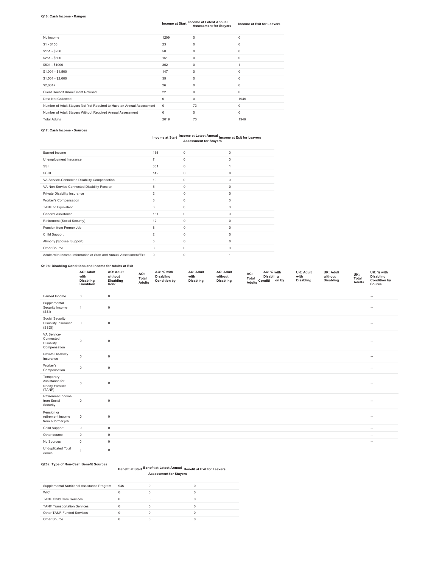### **Q16: Cash Income - Ranges**

### **Income at Start Income at Latest Annual Income at Exit for Leavers Assessment for Stayers**

| No income                                                             | 1209        | $\circ$     | $\Omega$ |
|-----------------------------------------------------------------------|-------------|-------------|----------|
| $$1 - $150$                                                           | 23          | 0           | $\circ$  |
| $$151 - $250$                                                         | 50          | $\circ$     | 0        |
| $$251 - $500$                                                         | 151         | $\Omega$    | $\Omega$ |
| \$501 - \$1000                                                        | 352         | 0           |          |
| $$1,001 - $1,500$                                                     | 147         | $\mathbf 0$ | $\Omega$ |
| $$1,501 - $2,000$                                                     | 39          | $\mathbf 0$ | 0        |
| $$2,001+$                                                             | 26          | $\Omega$    | $\Omega$ |
| Client Doesn't Know/Client Refused                                    | 22          | $\Omega$    | $\Omega$ |
| Data Not Collected                                                    | $\circ$     | $\Omega$    | 1945     |
| Number of Adult Stayers Not Yet Required to Have an Annual Assessment | $\mathbf 0$ | 73          | 0        |
| Number of Adult Stayers Without Required Annual Assessment            | $\Omega$    | $^{\circ}$  | $\Omega$ |
| <b>Total Adults</b>                                                   | 2019        | 73          | 1946     |

### **Q17: Cash Income - Sources**

### **Income at Start Income at Latest Annual Income at Exit for Leavers Assessment for Stayers**

| Farned Income                                                      | 135            | $\Omega$    | 0        |
|--------------------------------------------------------------------|----------------|-------------|----------|
| Unemployment Insurance                                             | $\overline{7}$ | $\Omega$    | 0        |
| SSI                                                                | 331            | $^{\circ}$  |          |
| SSDI                                                               | 142            | $\mathbf 0$ | 0        |
| VA Service-Connected Disability Compensation                       | 10             | $\mathbf 0$ | 0        |
| VA Non-Service Connected Disability Pension                        | 5              | $^{\circ}$  | 0        |
| Private Disability Insurance                                       | $\overline{2}$ | $^{\circ}$  | 0        |
| Worker's Compensation                                              | 3              | $^{\circ}$  | 0        |
| <b>TANF</b> or Equivalent                                          | 6              | $\Omega$    | 0        |
| General Assistance                                                 | 151            | $\Omega$    | 0        |
| Retirement (Social Security)                                       | 12             | $^{\circ}$  | 0        |
| Pension from Former Job                                            | 8              | $\Omega$    | 0        |
| Child Support                                                      | $\overline{2}$ | $\mathbf 0$ | 0        |
| Alimony (Spousal Support)                                          | 5              | $^{\circ}$  | 0        |
| Other Source                                                       | 3              | $\Omega$    | $\Omega$ |
| Adults with Income Information at Start and Annual Assessment/Exit | $\mathbf 0$    | $\Omega$    |          |

### **Q19b: Disabling Conditions and Income for Adults at Exit**

| AO: Adult<br>with<br><b>Disabling</b><br>Condition | AO: Adult<br>without<br><b>Disabling</b><br>Conc | AO:<br>Tota.<br>Adults | AO: % with<br><b>Disabling</b><br><b>Condition by</b> | <b>AC: Adult</b><br>with<br>Disabling | <b>AC: Adult</b><br>without<br>Disabling | AC:<br>Total<br>Adults | AC: % with<br>Disabli q<br>Conditi<br>on by | <b>UK: Adult</b><br>with<br><b>Disabling</b> | <b>UK: Adult</b><br>without<br><b>Disabling</b> | UK:<br>Total<br><b>Adults</b> | UK: % with<br>Disabling<br><b>Condition by</b><br>Source |
|----------------------------------------------------|--------------------------------------------------|------------------------|-------------------------------------------------------|---------------------------------------|------------------------------------------|------------------------|---------------------------------------------|----------------------------------------------|-------------------------------------------------|-------------------------------|----------------------------------------------------------|
|----------------------------------------------------|--------------------------------------------------|------------------------|-------------------------------------------------------|---------------------------------------|------------------------------------------|------------------------|---------------------------------------------|----------------------------------------------|-------------------------------------------------|-------------------------------|----------------------------------------------------------|

| Earned Income                                           | $\mathsf 0$         | $\mathbb O$ | $\sim$ |
|---------------------------------------------------------|---------------------|-------------|--------|
| Supplemental<br>Security Income<br>(SSI)                | $\mathbf{1}$        | $\mathbb O$ | $\sim$ |
| Social Security<br>Disability Insurance<br>(SSDI)       | $\mathbb O$         | $\mathbb O$ | $\sim$ |
| VA Service-<br>Connected<br>Disability<br>Compensation  | $\mathsf 0$         | $\mathbb O$ | $\sim$ |
| <b>Private Disability</b><br>Insurance                  | $\mathsf{O}\xspace$ | $\mathbb O$ | $\sim$ |
| Worker's<br>Compensation                                | $\mathsf 0$         | $\mathbb O$ | $\sim$ |
| Temporary<br>Assistance for<br>Needy Families<br>(TANF) | $\mathsf 0$         | $\mathbb O$ | $\sim$ |
| Retirement Income<br>from Social<br>Security            | $\mathsf 0$         | $\mathbb O$ | $\sim$ |
| Pension or<br>retirement income<br>from a former job    | $\mathsf 0$         | $\mathbb O$ | $\sim$ |
| Child Support                                           | $\mathsf 0$         | $\mathsf 0$ | $\sim$ |
| Other source                                            | $\mathsf{O}\xspace$ | $\mathbb O$ | $\sim$ |
| No Sources                                              | $\mathsf 0$         | $\mathsf 0$ | $\sim$ |
| <b>Unduplicated Total</b><br>Adults                     | $\mathbf{1}$        | $\mathsf 0$ |        |

### **Q20a: Type of Non-Cash Benefit Sources**

#### **Benefit at Start Benefit at Latest Annual Benefit at Exit for Leavers Assessment for Stayers**

| Supplemental Nutritional Assistance Program | 945 |  |
|---------------------------------------------|-----|--|
| <b>WIC</b>                                  |     |  |
| <b>TANF Child Care Services</b>             |     |  |
| <b>TANF Transportation Services</b>         |     |  |
| Other TANF-Funded Services                  |     |  |
| Other Source                                |     |  |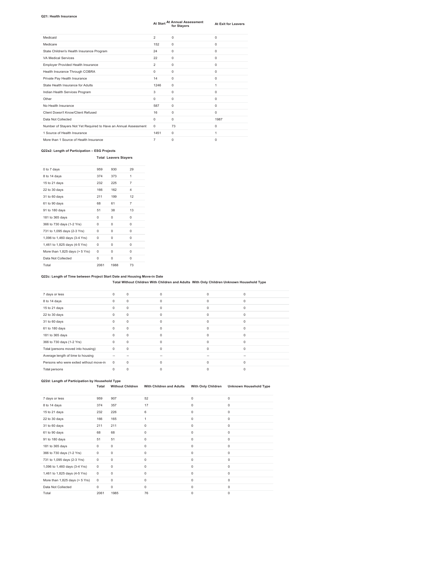### **Q21: Health Insurance**

|                                                                 | At Start       | At Annual Assessment<br>for Stavers | <b>At Exit for Leavers</b> |
|-----------------------------------------------------------------|----------------|-------------------------------------|----------------------------|
| Medicaid                                                        | $\overline{2}$ | $\mathbf 0$                         | $\Omega$                   |
| Medicare                                                        | 152            | $\Omega$                            | $\Omega$                   |
| State Children's Health Insurance Program                       | 24             | $\Omega$                            | $\Omega$                   |
| VA Medical Services                                             | 22             | 0                                   | $\Omega$                   |
| Employer Provided Health Insurance                              | $\overline{2}$ | 0                                   | $\Omega$                   |
| Health Insurance Through COBRA                                  | $\Omega$       | $\Omega$                            | $\Omega$                   |
| Private Pay Health Insurance                                    | 14             | $\Omega$                            | $\Omega$                   |
| State Health Insurance for Adults                               | 1246           | $\Omega$                            | 1                          |
| Indian Health Services Program                                  | 3              | $\Omega$                            | $\Omega$                   |
| Other                                                           | $\Omega$       | $\Omega$                            | $\Omega$                   |
| No Health Insurance                                             | 587            | 0                                   | 0                          |
| Client Doesn't Know/Client Refused                              | 16             | $\Omega$                            | $\Omega$                   |
| Data Not Collected                                              | $^{\circ}$     | 0                                   | 1987                       |
| Number of Stayers Not Yet Required to Have an Annual Assessment | $^{\circ}$     | 73                                  | $^{\circ}$                 |
| 1 Source of Health Insurance                                    | 1451           | $\Omega$                            | 1                          |
| More than 1 Source of Health Insurance                          | $\overline{7}$ | 0                                   | 0                          |

### **Q22a2: Length of Participation – ESG Projects**

### **Total Leavers Stayers**

| 0 to 7 days                    | 959      | 930      | 29             |
|--------------------------------|----------|----------|----------------|
| 8 to 14 days                   | 374      | 373      | 1              |
| 15 to 21 days                  | 232      | 225      | $\overline{7}$ |
| 22 to 30 days                  | 166      | 162      | 4              |
| 31 to 60 days                  | 211      | 199      | 12             |
| 61 to 90 days                  | 68       | 61       | 7              |
| 91 to 180 days                 | 51       | 38       | 13             |
| 181 to 365 days                | $\Omega$ | $\Omega$ | $\Omega$       |
| 366 to 730 days (1-2 Yrs)      | $\Omega$ | $\Omega$ | $\Omega$       |
| 731 to 1,095 days (2-3 Yrs)    | 0        | $\Omega$ | $\Omega$       |
| 1,096 to 1,460 days (3-4 Yrs)  | $\Omega$ | $\Omega$ | $\Omega$       |
| 1,461 to 1,825 days (4-5 Yrs)  | $\Omega$ | $\Omega$ | $\Omega$       |
| More than 1,825 days (> 5 Yrs) | $\Omega$ | $\Omega$ | $\Omega$       |
| Data Not Collected             | $\Omega$ | $\Omega$ | $\Omega$       |
| Total                          | 2061     | 1988     | 73             |

**Q22c: Length of Time between Project Start Date and Housing Move-in Date Total Without Children With Children and Adults With Only Children Unknown Household Type** 

| 7 days or less                          | $\Omega$ | $\mathbf 0$ | $\Omega$    | $\Omega$ | $\Omega$ |
|-----------------------------------------|----------|-------------|-------------|----------|----------|
| 8 to 14 days                            | $\Omega$ | $\mathbf 0$ | $\Omega$    | $\Omega$ | $\Omega$ |
| 15 to 21 days                           | $\Omega$ | $\mathbf 0$ | $\mathbf 0$ | $\Omega$ | $\Omega$ |
| 22 to 30 days                           | $\Omega$ | $\mathbf 0$ | $\Omega$    | $\Omega$ | $\Omega$ |
| 31 to 60 days                           | $\Omega$ | $\mathbf 0$ | $\Omega$    | $\Omega$ | $\Omega$ |
| 61 to 180 days                          | $\Omega$ | $\mathbf 0$ | $\Omega$    | $\Omega$ | $\Omega$ |
| 181 to 365 days                         | $\Omega$ | $\mathbf 0$ | $\Omega$    | $\Omega$ | $\Omega$ |
| 366 to 730 days (1-2 Yrs)               | $\Omega$ | $\mathbf 0$ | $\Omega$    | $\Omega$ | $\Omega$ |
| Total (persons moved into housing)      | $\Omega$ | $\mathbf 0$ | $\Omega$    | $\Omega$ | $\Omega$ |
| Average length of time to housing       | $\sim$   |             | -           | $\sim$   | $\sim$   |
| Persons who were exited without move-in | $\Omega$ | $\mathbf 0$ | $\Omega$    | $\Omega$ | $\Omega$ |
| Total persons                           | $\Omega$ | $\Omega$    | 0           |          | U        |

## **Q22d: Length of Participation by Household Type Total Without Children With Children and Adults With Only Children Unknown Household Type**

| 7 days or less                      | 959         | 907         | 52          | $\mathbf 0$ | 0           |
|-------------------------------------|-------------|-------------|-------------|-------------|-------------|
| 8 to 14 days                        | 374         | 357         | 17          | $\mathbf 0$ | 0           |
| 15 to 21 days                       | 232         | 226         | 6           | $\mathbf 0$ | 0           |
| 22 to 30 days                       | 166         | 165         | 1           | $\mathbf 0$ | 0           |
| 31 to 60 days                       | 211         | 211         | $\mathbf 0$ | $\circ$     | 0           |
| 61 to 90 days                       | 68          | 68          | $\mathbf 0$ | $\mathbf 0$ | 0           |
| 91 to 180 days                      | 51          | 51          | $\mathbf 0$ | 0           | 0           |
| 181 to 365 days                     | 0           | 0           | $\mathbf 0$ | $\mathbf 0$ | 0           |
| 366 to 730 days (1-2 Yrs)           | 0           | 0           | $\mathbf 0$ | $\mathbf 0$ | 0           |
| 731 to 1,095 days (2-3 Yrs)         | 0           | $\mathbf 0$ | $\mathbf 0$ | 0           | $\mathbf 0$ |
| 1,096 to 1,460 days (3-4 Yrs)       | 0           | 0           | $\mathbf 0$ | $\mathbf 0$ | 0           |
| 1,461 to 1,825 days (4-5 Yrs)       | 0           | 0           | $\mathbf 0$ | $\mathbf 0$ | 0           |
| More than $1,825$ days ( $> 5$ Yrs) | 0           | $\mathbf 0$ | $\mathbf 0$ | 0           | $\mathbf 0$ |
| Data Not Collected                  | $\mathbf 0$ | 0           | $\mathbf 0$ | $\circ$     | $\mathbf 0$ |
| Total                               | 2061        | 1985        | 76          | 0           | 0           |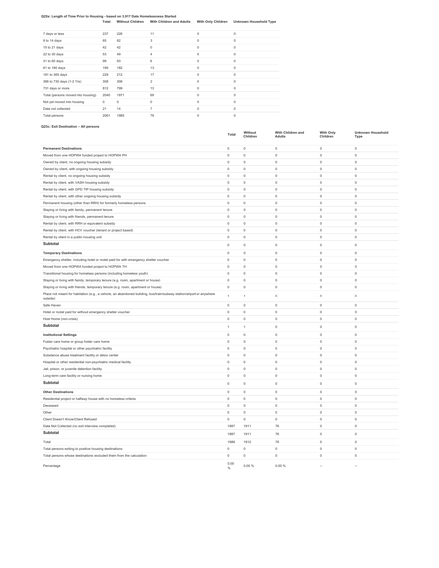### **Q22e: Length of Time Prior to Housing - based on 3.917 Date Homelessness Started**

**Total Without Children With Children and Adults With Only Children Unknown Household Type** 

| 7 days or less                     | 237  | 226  | 11             | 0 | $\Omega$ |
|------------------------------------|------|------|----------------|---|----------|
| 8 to 14 days                       | 65   | 62   | 3              | 0 | 0        |
| 15 to 21 days                      | 42   | 42   | $\circ$        | 0 | $\Omega$ |
| 22 to 30 days                      | 53   | 49   | $\overline{4}$ | 0 | $\Omega$ |
| 31 to 60 days                      | 99   | 93   | 6              | 0 | $\Omega$ |
| 61 to 180 days                     | 195  | 182  | 13             | 0 | 0        |
| 181 to 365 days                    | 229  | 212  | 17             | 0 | 0        |
| 366 to 730 days (1-2 Yrs)          | 308  | 306  | $\overline{2}$ | 0 | $\Omega$ |
| 731 days or more                   | 812  | 799  | 13             | 0 | $\Omega$ |
| Total (persons moved into housing) | 2040 | 1971 | 69             | 0 | $\Omega$ |
| Not yet moved into housing         | 0    | 0    | $\circ$        | 0 | $\Omega$ |
| Data not collected                 | 21   | 14   | $\overline{7}$ | 0 | $\Omega$ |
| Total persons                      | 2061 | 1985 | 76             | 0 | 0        |
|                                    |      |      |                |   |          |

### **Q23c: Exit Destination – All persons**

|                                                                                                                                  | Total               | Without<br>Children | With Children and<br><b>Adults</b> | <b>With Only</b><br>Children | <b>Unknown Household</b><br><b>Type</b> |
|----------------------------------------------------------------------------------------------------------------------------------|---------------------|---------------------|------------------------------------|------------------------------|-----------------------------------------|
| <b>Permanent Destinations</b>                                                                                                    | $\mathsf 0$         | $\mathbf 0$         | 0                                  | $\mathbf 0$                  | $\mathsf 0$                             |
| Moved from one HOPWA funded project to HOPWA PH                                                                                  | 0                   | $\mathbf 0$         | 0                                  | $\mathbf 0$                  | 0                                       |
| Owned by client, no ongoing housing subsidy                                                                                      | 0                   | $\bf{0}$            | 0                                  | $\mathbf 0$                  | $\mathsf 0$                             |
| Owned by client, with ongoing housing subsidy                                                                                    | $\mathsf 0$         | $\mathbf 0$         | $\mathsf 0$                        | $\mathbf 0$                  | $\mathsf 0$                             |
| Rental by client, no ongoing housing subsidy                                                                                     | 0                   | $\mathbf 0$         | 0                                  | $\mathbf 0$                  | $\mathsf 0$                             |
| Rental by client, with VASH housing subsidy                                                                                      | 0                   | $\mathbf 0$         | 0                                  | $\mathbf 0$                  | $\mathsf 0$                             |
| Rental by client, with GPD TIP housing subsidy                                                                                   | $\mathsf 0$         | $\mathbf 0$         | 0                                  | $\mathbf 0$                  | $\mathbf 0$                             |
| Rental by client, with other ongoing housing subsidy                                                                             | $\mathsf 0$         | $\mathbf 0$         | $\mathsf 0$                        | $\mathbf 0$                  | $\mathsf 0$                             |
| Permanent housing (other than RRH) for formerly homeless persons                                                                 | $\mathsf 0$         | $\mathsf 0$         | 0                                  | $\mathbf 0$                  | $\mathsf 0$                             |
| Staying or living with family, permanent tenure                                                                                  | $\mathsf{O}\xspace$ | $\mathbf 0$         | 0                                  | $\mathbf 0$                  | $\mathsf 0$                             |
| Staying or living with friends, permanent tenure                                                                                 | 0                   | $\mathbf 0$         | 0                                  | $\mathbf 0$                  | $\mathsf 0$                             |
| Rental by client, with RRH or equivalent subsidy                                                                                 | $\mathsf 0$         | $\mathbf 0$         | $\mathsf 0$                        | $\mathbf 0$                  | $\mathsf 0$                             |
| Rental by client, with HCV voucher (tenant or project based)                                                                     | $\circ$             | $\circ$             | $\mathbf 0$                        | $\circ$                      | $\circ$                                 |
| Rental by client in a public housing unit                                                                                        | $\mathsf 0$         | $\mathbf 0$         | 0                                  | $\mathbf 0$                  | $\mathsf 0$                             |
| Subtotal                                                                                                                         | $\mathbf 0$         | $\mathbf 0$         | $\mathsf 0$                        | $\mathbf 0$                  | $\mathbf 0$                             |
| <b>Temporary Destinations</b>                                                                                                    | $\mathbf 0$         | $\mathbf 0$         | $\mathsf 0$                        | $\mathbf 0$                  | $\mathsf 0$                             |
| Emergency shelter, including hotel or motel paid for with emergency shelter voucher                                              | $\mathsf 0$         | $\mathbf 0$         | $\mathsf 0$                        | $\mathbf 0$                  | $\mathsf 0$                             |
| Moved from one HOPWA funded project to HOPWA TH                                                                                  | $\Omega$            | $\mathbf 0$         | $\mathbf 0$                        | $\circ$                      | $\circ$                                 |
| Transitional housing for homeless persons (including homeless youth)                                                             | $\mathbf 0$         | $\mathbf 0$         | $\mathbf 0$                        | $\circ$                      | $\mathbf{0}$                            |
| Staying or living with family, temporary tenure (e.g. room, apartment or house)                                                  | $\mathsf 0$         | $\mathbf 0$         | 0                                  | $\mathbf 0$                  | $\mathsf{O}$                            |
| Staying or living with friends, temporary tenure (e.g. room, apartment or house)                                                 | $\mathsf 0$         | $\mathbf 0$         | $\mathsf 0$                        | $\mathbf 0$                  | $\mathsf{O}\xspace$                     |
| Place not meant for habitation (e.g., a vehicle, an abandoned building, bus/train/subway station/airport or anywhere<br>outside) | $\overline{1}$      | $\overline{1}$      | $\cap$                             | $\cap$                       | $\cap$                                  |
| Safe Haven                                                                                                                       | $\mathsf 0$         | $\mathbf 0$         | $\mathsf 0$                        | $\mathbf 0$                  | $\mathsf 0$                             |
| Hotel or motel paid for without emergency shelter voucher                                                                        | $\Omega$            | $\circ$             | $\mathbf 0$                        | $\circ$                      | $\mathbf{0}$                            |
| Host Home (non-crisis)                                                                                                           | $\mathsf 0$         | $\mathbf 0$         | $\mathsf 0$                        | $\mathbf 0$                  | $\mathsf 0$                             |
| Subtotal                                                                                                                         | $\mathbf{1}$        | $\mathbf{1}$        | 0                                  | $\mathbf 0$                  | $\mathsf 0$                             |
| <b>Institutional Settings</b>                                                                                                    | $\mathsf 0$         | $\,0\,$             | $\mathsf{O}\xspace$                | $\mathbb O$                  | $\mathsf 0$                             |
| Foster care home or group foster care home                                                                                       | $\mathbf 0$         | $\mathbf 0$         | $\mathbf 0$                        | $\mathbf 0$                  | $\mathbf 0$                             |
| Psychiatric hospital or other psychiatric facility                                                                               | $\mathsf 0$         | $\mathbf 0$         | 0                                  | $\mathbf 0$                  | $\mathsf 0$                             |
| Substance abuse treatment facility or detox center                                                                               | 0                   | $\,0\,$             | 0                                  | $\mathbb O$                  | $\mathsf 0$                             |
| Hospital or other residential non-psychiatric medical facility                                                                   | $\circ$             | $\mathbb O$         | 0                                  | $\,0\,$                      | $\mathsf 0$                             |
| Jail, prison, or juvenile detention facility                                                                                     | $\mathbf 0$         | $\mathbf 0$         | 0                                  | $\mathbf 0$                  | $\mathsf 0$                             |
| Long-term care facility or nursing home                                                                                          | $\mathsf 0$         | $\mathsf 0$         | 0                                  | $\mathbf 0$                  | $\mathsf 0$                             |
| Subtotal                                                                                                                         | 0                   | $\mathbf 0$         | 0                                  | $\mathbf 0$                  | $\mathsf 0$                             |
| <b>Other Destinations</b>                                                                                                        | $\mathsf 0$         | $\mathbf 0$         | 0                                  | $\mathbf 0$                  | $\mathsf 0$                             |
| Residential project or halfway house with no homeless criteria                                                                   | $\mathsf 0$         | $\mathbb O$         | 0                                  | $\,0\,$                      | $\mathsf 0$                             |
| Deceased                                                                                                                         | 0                   | $\bf 0$             | 0                                  | $\mathbf 0$                  | $\mathsf 0$                             |
| Other                                                                                                                            | $\mathsf 0$         | $\mathbf 0$         | $\mathsf 0$                        | $\mathbf 0$                  | $\mathbf 0$                             |
| Client Doesn't Know/Client Refused                                                                                               | $\mathsf 0$         | $\bf 0$             | 0                                  | $\mathbf 0$                  | $\mathsf 0$                             |
| Data Not Collected (no exit interview completed)                                                                                 | 1987                | 1911                | 76                                 | $\mathbf 0$                  | $\mathsf 0$                             |
| Subtotal                                                                                                                         | 1987                | 1911                | 76                                 | $\mathbf 0$                  | $\mathsf 0$                             |
| Total                                                                                                                            | 1988                | 1912                | 76                                 | $\mathbf 0$                  | $\mathsf 0$                             |
| Total persons exiting to positive housing destinations                                                                           | 0                   | $\bf 0$             | $\mathsf 0$                        | $\mathbf 0$                  | $\mathbf 0$                             |
| Total persons whose destinations excluded them from the calculation                                                              | $\mathbf 0$         | $\bf 0$             | $\circ$                            | $\mathbf 0$                  | $\mathbf 0$                             |
| Percentage                                                                                                                       | 0.00<br>%           | 0.00%               | 0.00%                              | $\sim$                       |                                         |